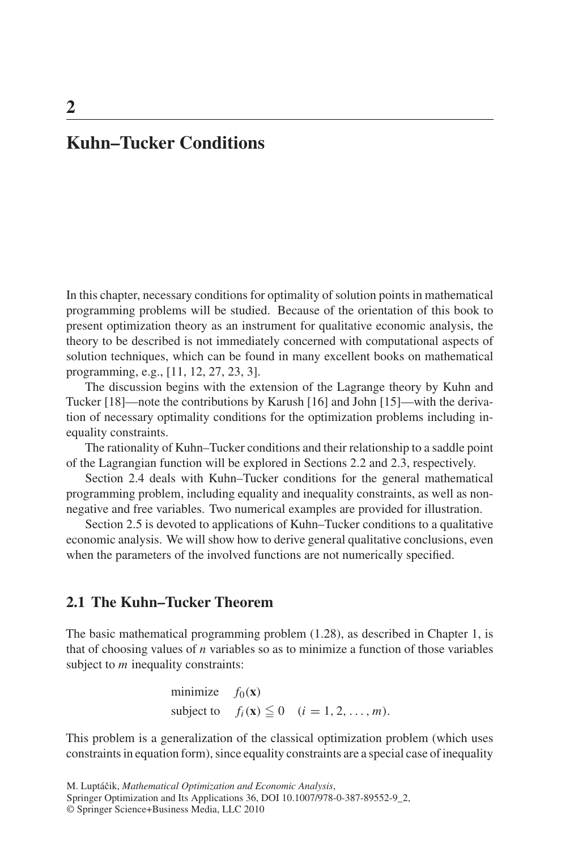# **Kuhn–Tucker Conditions**

In this chapter, necessary conditions for optimality of solution points in mathematical programming problems will be studied. Because of the orientation of this book to present optimization theory as an instrument for qualitative economic analysis, the theory to be described is not immediately concerned with computational aspects of solution techniques, which can be found in many excellent books on mathematical programming, e.g., [11, 12, 27, 23, 3].

The discussion begins with the extension of the Lagrange theory by Kuhn and Tucker [18]—note the contributions by Karush [16] and John [15]—with the derivation of necessary optimality conditions for the optimization problems including inequality constraints.

The rationality of Kuhn–Tucker conditions and their relationship to a saddle point of the Lagrangian function will be explored in Sections 2.2 and 2.3, respectively.

Section 2.4 deals with Kuhn–Tucker conditions for the general mathematical programming problem, including equality and inequality constraints, as well as nonnegative and free variables. Two numerical examples are provided for illustration.

Section 2.5 is devoted to applications of Kuhn–Tucker conditions to a qualitative economic analysis. We will show how to derive general qualitative conclusions, even when the parameters of the involved functions are not numerically specified.

## **2.1 The Kuhn–Tucker Theorem**

The basic mathematical programming problem (1.28), as described in Chapter 1, is that of choosing values of *n* variables so as to minimize a function of those variables subject to *m* inequality constraints:

minimize 
$$
f_0(\mathbf{x})
$$
  
subject to  $f_i(\mathbf{x}) \leq 0 \quad (i = 1, 2, ..., m)$ .

This problem is a generalization of the classical optimization problem (which uses constraints in equation form), since equality constraints are a special case of inequality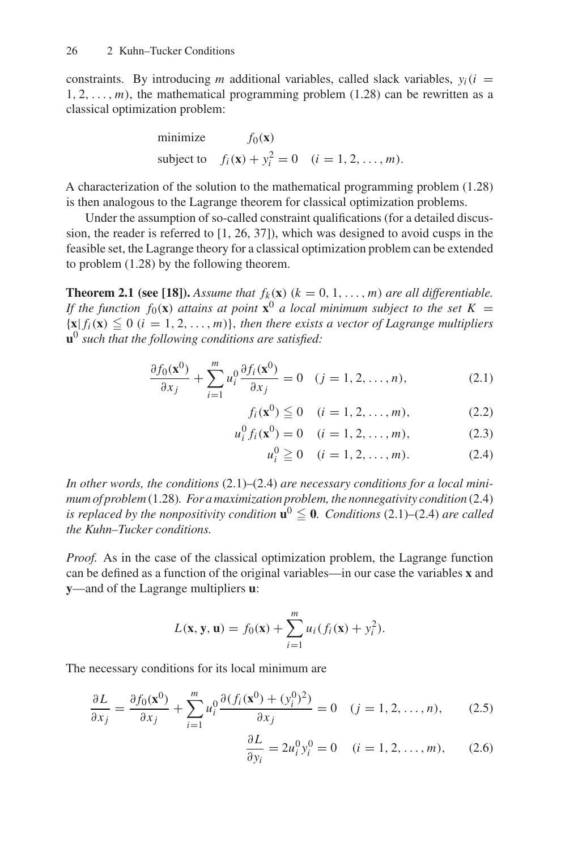constraints. By introducing *m* additional variables, called slack variables,  $y_i(i =$  $1, 2, \ldots, m$ , the mathematical programming problem  $(1.28)$  can be rewritten as a classical optimization problem:

minimize 
$$
f_0(\mathbf{x})
$$
  
subject to  $f_i(\mathbf{x}) + y_i^2 = 0$   $(i = 1, 2, ..., m)$ .

A characterization of the solution to the mathematical programming problem (1.28) is then analogous to the Lagrange theorem for classical optimization problems.

Under the assumption of so-called constraint qualifications (for a detailed discussion, the reader is referred to  $[1, 26, 37]$ ), which was designed to avoid cusps in the feasible set, the Lagrange theory for a classical optimization problem can be extended to problem (1.28) by the following theorem.

**Theorem 2.1 (see [18]).** *Assume that*  $f_k(\mathbf{x})$  ( $k = 0, 1, \ldots, m$ ) *are all differentiable. If the function*  $f_0(\mathbf{x})$  *attains at point*  $\mathbf{x}^0$  *a local minimum subject to the set*  $K =$  ${\bf x} \times {\bf x}$   $f_i({\bf x}) \leq 0$  (*i* = 1, 2, ..., *m*)}*,* then there exists a vector of Lagrange multipliers **u**<sup>0</sup> *such that the following conditions are satisfied:*

$$
\frac{\partial f_0(\mathbf{x}^0)}{\partial x_j} + \sum_{i=1}^m u_i^0 \frac{\partial f_i(\mathbf{x}^0)}{\partial x_j} = 0 \quad (j = 1, 2, \dots, n), \tag{2.1}
$$

$$
f_i(\mathbf{x}^0) \leqq 0 \quad (i = 1, 2, \dots, m), \tag{2.2}
$$

$$
u_i^0 f_i(\mathbf{x}^0) = 0 \quad (i = 1, 2, \dots, m), \tag{2.3}
$$

$$
u_i^0 \ge 0 \quad (i = 1, 2, \dots, m). \tag{2.4}
$$

*In other words, the conditions* (2.1)–(2.4) *are necessary conditions for a local minimum of problem* (1.28)*. For a maximization problem, the nonnegativity condition* (2.4) *is replaced by the nonpositivity condition*  $\mathbf{u}^0 \leq \mathbf{0}$ *. Conditions* (2.1)–(2.4) *are called the Kuhn–Tucker conditions.*

*Proof.* As in the case of the classical optimization problem, the Lagrange function can be defined as a function of the original variables—in our case the variables **x** and **y**—and of the Lagrange multipliers **u**:

$$
L(\mathbf{x}, \mathbf{y}, \mathbf{u}) = f_0(\mathbf{x}) + \sum_{i=1}^m u_i (f_i(\mathbf{x}) + y_i^2).
$$

The necessary conditions for its local minimum are

$$
\frac{\partial L}{\partial x_j} = \frac{\partial f_0(\mathbf{x}^0)}{\partial x_j} + \sum_{i=1}^m u_i^0 \frac{\partial (f_i(\mathbf{x}^0) + (y_i^0)^2)}{\partial x_j} = 0 \quad (j = 1, 2, \dots, n), \tag{2.5}
$$

$$
\frac{\partial L}{\partial y_i} = 2u_i^0 y_i^0 = 0 \quad (i = 1, 2, \dots, m), \tag{2.6}
$$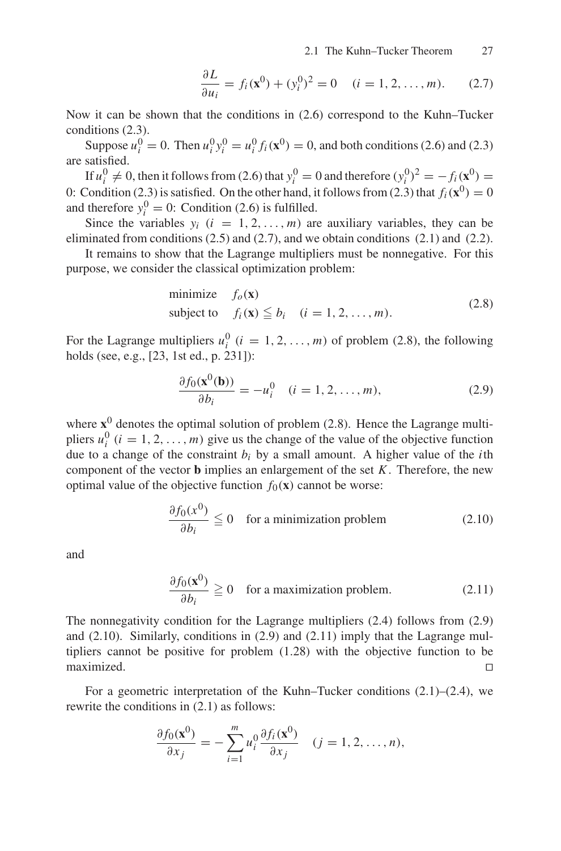$$
\frac{\partial L}{\partial u_i} = f_i(\mathbf{x}^0) + (y_i^0)^2 = 0 \quad (i = 1, 2, ..., m). \tag{2.7}
$$

Now it can be shown that the conditions in (2.6) correspond to the Kuhn–Tucker conditions (2.3).

Suppose  $u_i^0 = 0$ . Then  $u_i^0 y_i^0 = u_i^0 f_i(\mathbf{x}^0) = 0$ , and both conditions (2.6) and (2.3) are satisfied.

If  $u_i^0 \neq 0$ , then it follows from (2.6) that  $y_i^0 = 0$  and therefore  $(y_i^0)^2 = -f_i(\mathbf{x}^0) =$ 0: Condition (2.3) is satisfied. On the other hand, it follows from (2.3) that  $f_i(\mathbf{x}^0) = 0$ and therefore  $y_i^0 = 0$ : Condition (2.6) is fulfilled.

Since the variables  $y_i$   $(i = 1, 2, ..., m)$  are auxiliary variables, they can be eliminated from conditions  $(2.5)$  and  $(2.7)$ , and we obtain conditions  $(2.1)$  and  $(2.2)$ .

It remains to show that the Lagrange multipliers must be nonnegative. For this purpose, we consider the classical optimization problem:

minimize 
$$
f_o(\mathbf{x})
$$
  
subject to  $f_i(\mathbf{x}) \leq b_i$   $(i = 1, 2, ..., m).$  (2.8)

For the Lagrange multipliers  $u_i^0$  ( $i = 1, 2, ..., m$ ) of problem (2.8), the following holds (see, e.g., [23, 1st ed., p. 231]):

$$
\frac{\partial f_0(\mathbf{x}^0(\mathbf{b}))}{\partial b_i} = -u_i^0 \quad (i = 1, 2, \dots, m),
$$
\n(2.9)

where  $\mathbf{x}^0$  denotes the optimal solution of problem (2.8). Hence the Lagrange multipliers  $u_i^0$  ( $i = 1, 2, ..., m$ ) give us the change of the value of the objective function due to a change of the constraint  $b_i$  by a small amount. A higher value of the *i*th component of the vector **b** implies an enlargement of the set *K*. Therefore, the new optimal value of the objective function  $f_0(\mathbf{x})$  cannot be worse:

$$
\frac{\partial f_0(x^0)}{\partial b_i} \le 0 \quad \text{for a minimization problem} \tag{2.10}
$$

and

$$
\frac{\partial f_0(\mathbf{x}^0)}{\partial b_i} \ge 0 \quad \text{for a maximization problem.} \tag{2.11}
$$

The nonnegativity condition for the Lagrange multipliers (2.4) follows from (2.9) and (2.10). Similarly, conditions in (2.9) and (2.11) imply that the Lagrange multipliers cannot be positive for problem (1.28) with the objective function to be maximized.

For a geometric interpretation of the Kuhn–Tucker conditions (2.1)–(2.4), we rewrite the conditions in (2.1) as follows:

$$
\frac{\partial f_0(\mathbf{x}^0)}{\partial x_j} = -\sum_{i=1}^m u_i^0 \frac{\partial f_i(\mathbf{x}^0)}{\partial x_j} \quad (j = 1, 2, \dots, n),
$$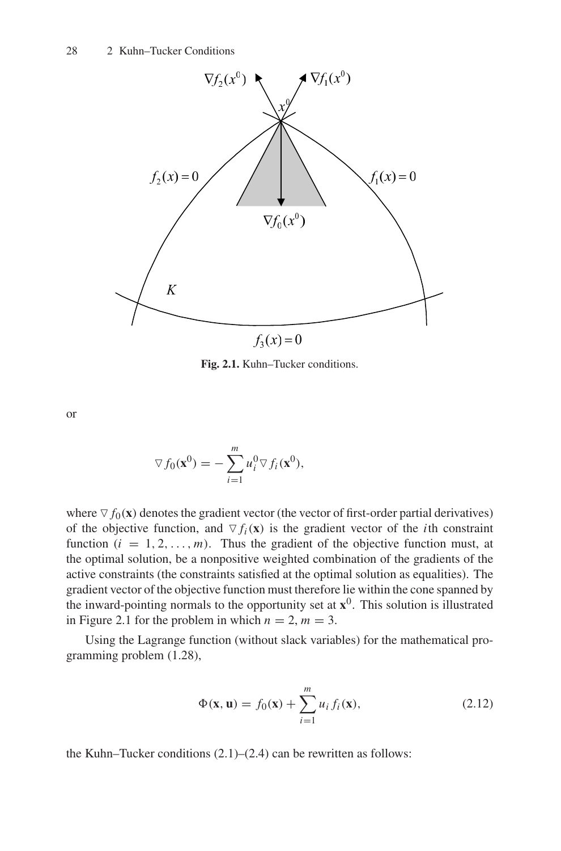

**Fig. 2.1.** Kuhn–Tucker conditions.

or

$$
\nabla f_0(\mathbf{x}^0) = -\sum_{i=1}^m u_i^0 \nabla f_i(\mathbf{x}^0),
$$

where  $\nabla f_0(\mathbf{x})$  denotes the gradient vector (the vector of first-order partial derivatives) of the objective function, and  $\nabla f_i(\mathbf{x})$  is the gradient vector of the *i*th constraint function  $(i = 1, 2, \ldots, m)$ . Thus the gradient of the objective function must, at the optimal solution, be a nonpositive weighted combination of the gradients of the active constraints (the constraints satisfied at the optimal solution as equalities). The gradient vector of the objective function must therefore lie within the cone spanned by the inward-pointing normals to the opportunity set at  $\mathbf{x}^0$ . This solution is illustrated in Figure 2.1 for the problem in which  $n = 2$ ,  $m = 3$ .

Using the Lagrange function (without slack variables) for the mathematical programming problem (1.28),

$$
\Phi(\mathbf{x}, \mathbf{u}) = f_0(\mathbf{x}) + \sum_{i=1}^{m} u_i f_i(\mathbf{x}),
$$
\n(2.12)

the Kuhn–Tucker conditions (2.1)–(2.4) can be rewritten as follows: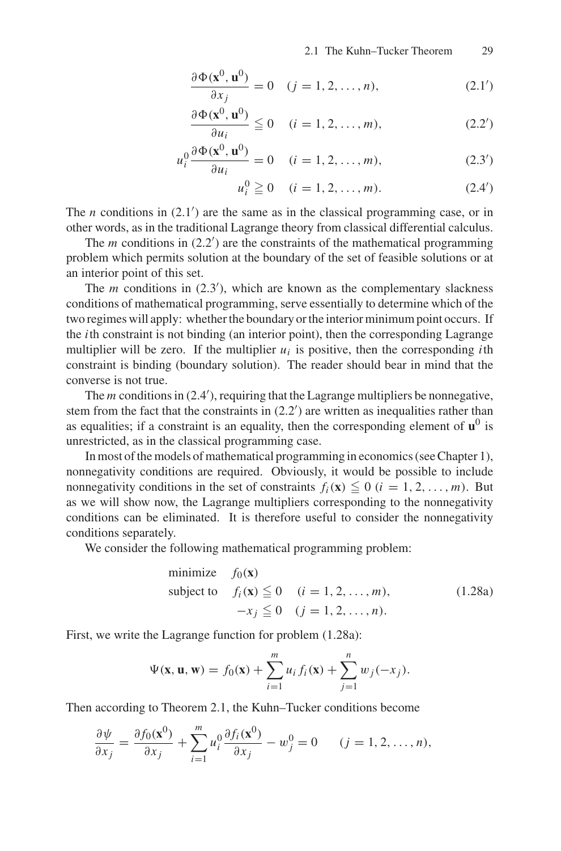$$
\frac{\partial \Phi(\mathbf{x}^0, \mathbf{u}^0)}{\partial x_j} = 0 \quad (j = 1, 2, \dots, n),
$$
 (2.1')

$$
\frac{\partial \Phi(\mathbf{x}^0, \mathbf{u}^0)}{\partial u_i} \leq 0 \quad (i = 1, 2, \dots, m), \tag{2.2'}
$$

$$
u_i^0 \frac{\partial \Phi(\mathbf{x}^0, \mathbf{u}^0)}{\partial u_i} = 0 \quad (i = 1, 2, \dots, m), \tag{2.3'}
$$

$$
u_i^0 \ge 0 \quad (i = 1, 2, \dots, m). \tag{2.4'}
$$

The  $n$  conditions in  $(2.1')$  are the same as in the classical programming case, or in other words, as in the traditional Lagrange theory from classical differential calculus.

The *m* conditions in (2.2') are the constraints of the mathematical programming problem which permits solution at the boundary of the set of feasible solutions or at an interior point of this set.

The  $m$  conditions in  $(2.3')$ , which are known as the complementary slackness conditions of mathematical programming, serve essentially to determine which of the two regimes will apply: whether the boundary or the interior minimum point occurs. If the *i*th constraint is not binding (an interior point), then the corresponding Lagrange multiplier will be zero. If the multiplier  $u_i$  is positive, then the corresponding *i*th constraint is binding (boundary solution). The reader should bear in mind that the converse is not true.

The *m* conditions in (2.4'), requiring that the Lagrange multipliers be nonnegative, stem from the fact that the constraints in (2.2 ) are written as inequalities rather than as equalities; if a constraint is an equality, then the corresponding element of  $\mathbf{u}^0$  is unrestricted, as in the classical programming case.

In most of the models of mathematical programming in economics (see Chapter 1), nonnegativity conditions are required. Obviously, it would be possible to include nonnegativity conditions in the set of constraints  $f_i(\mathbf{x}) \leq 0$  ( $i = 1, 2, ..., m$ ). But as we will show now, the Lagrange multipliers corresponding to the nonnegativity conditions can be eliminated. It is therefore useful to consider the nonnegativity conditions separately.

We consider the following mathematical programming problem:

minimize 
$$
f_0(\mathbf{x})
$$
  
\nsubject to  $f_i(\mathbf{x}) \le 0$   $(i = 1, 2, ..., m),$   
\n $-x_j \le 0$   $(j = 1, 2, ..., n).$  (1.28a)

First, we write the Lagrange function for problem (1.28a):

$$
\Psi(\mathbf{x}, \mathbf{u}, \mathbf{w}) = f_0(\mathbf{x}) + \sum_{i=1}^m u_i f_i(\mathbf{x}) + \sum_{j=1}^n w_j (-x_j).
$$

Then according to Theorem 2.1, the Kuhn–Tucker conditions become

$$
\frac{\partial \psi}{\partial x_j} = \frac{\partial f_0(\mathbf{x}^0)}{\partial x_j} + \sum_{i=1}^m u_i^0 \frac{\partial f_i(\mathbf{x}^0)}{\partial x_j} - w_j^0 = 0 \qquad (j = 1, 2, \dots, n),
$$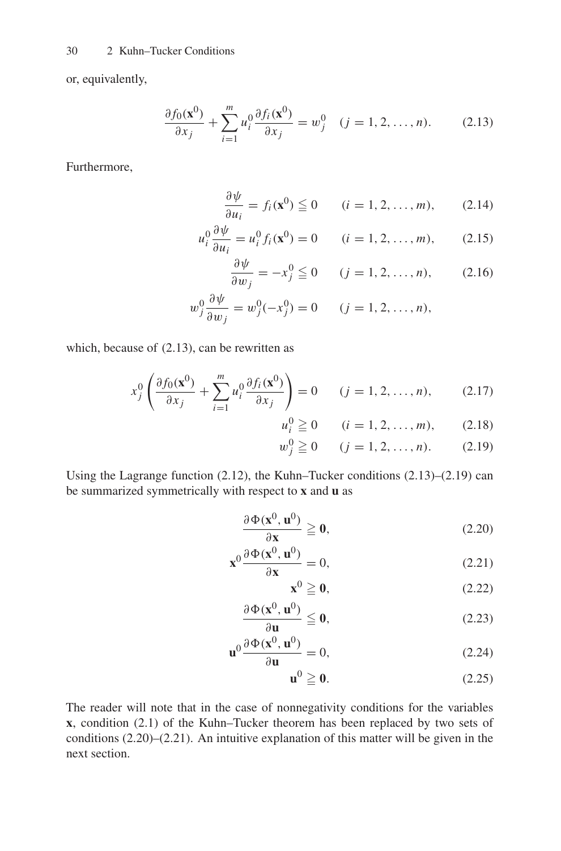### 30 2 Kuhn–Tucker Conditions

or, equivalently,

$$
\frac{\partial f_0(\mathbf{x}^0)}{\partial x_j} + \sum_{i=1}^m u_i^0 \frac{\partial f_i(\mathbf{x}^0)}{\partial x_j} = w_j^0 \quad (j = 1, 2, \dots, n). \tag{2.13}
$$

Furthermore,

$$
\frac{\partial \psi}{\partial u_i} = f_i(\mathbf{x}^0) \leq 0 \qquad (i = 1, 2, \dots, m), \qquad (2.14)
$$

$$
u_i^0 \frac{\partial \psi}{\partial u_i} = u_i^0 f_i(\mathbf{x}^0) = 0 \qquad (i = 1, 2, \dots, m), \qquad (2.15)
$$

$$
\frac{\partial \psi}{\partial w_j} = -x_j^0 \leq 0 \qquad (j = 1, 2, \dots, n), \qquad (2.16)
$$

$$
w_j^0 \frac{\partial \psi}{\partial w_j} = w_j^0(-x_j^0) = 0 \qquad (j = 1, 2, \dots, n),
$$

which, because of (2.13), can be rewritten as

$$
x_j^0 \left( \frac{\partial f_0(\mathbf{x}^0)}{\partial x_j} + \sum_{i=1}^m u_i^0 \frac{\partial f_i(\mathbf{x}^0)}{\partial x_j} \right) = 0 \qquad (j = 1, 2, \dots, n), \tag{2.17}
$$

$$
u_i^0 \ge 0 \qquad (i = 1, 2, \dots, m), \qquad (2.18)
$$

$$
w_j^0 \ge 0 \qquad (j = 1, 2, \dots, n). \tag{2.19}
$$

Using the Lagrange function  $(2.12)$ , the Kuhn–Tucker conditions  $(2.13)$ – $(2.19)$  can be summarized symmetrically with respect to **x** and **u** as

$$
\frac{\partial \Phi(\mathbf{x}^0, \mathbf{u}^0)}{\partial \mathbf{x}} \geq \mathbf{0},\tag{2.20}
$$

$$
\mathbf{x}^{0} \frac{\partial \Phi(\mathbf{x}^{0}, \mathbf{u}^{0})}{\partial \mathbf{x}} = 0, \qquad (2.21)
$$

$$
\mathbf{x}^0 \geqq \mathbf{0},\tag{2.22}
$$

$$
\frac{\partial \Phi(\mathbf{x}^0, \mathbf{u}^0)}{\partial \mathbf{u}} \leq \mathbf{0},\tag{2.23}
$$

$$
\mathbf{u}^{0} \frac{\partial \Phi(\mathbf{x}^{0}, \mathbf{u}^{0})}{\partial \mathbf{u}} = 0, \qquad (2.24)
$$

$$
\mathbf{u}^0 \geq \mathbf{0}.\tag{2.25}
$$

The reader will note that in the case of nonnegativity conditions for the variables **x**, condition (2.1) of the Kuhn–Tucker theorem has been replaced by two sets of conditions (2.20)–(2.21). An intuitive explanation of this matter will be given in the next section.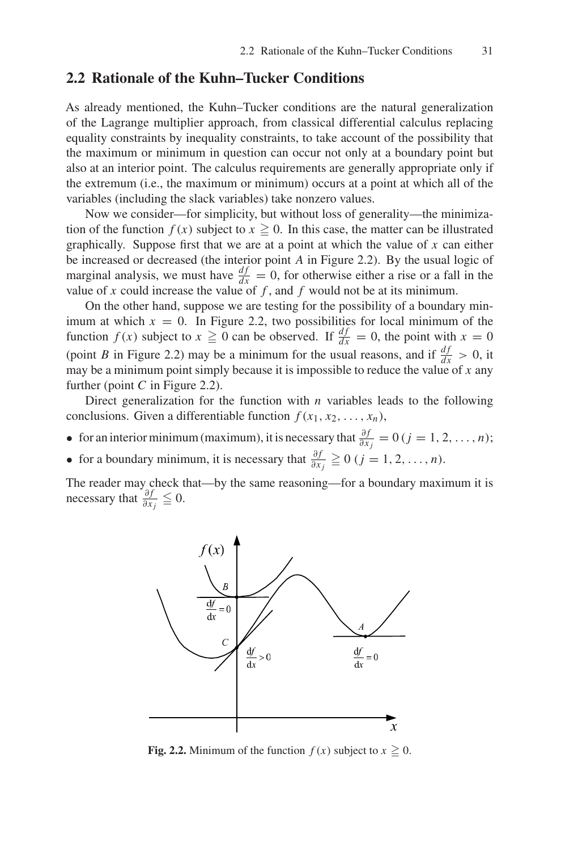## **2.2 Rationale of the Kuhn–Tucker Conditions**

As already mentioned, the Kuhn–Tucker conditions are the natural generalization of the Lagrange multiplier approach, from classical differential calculus replacing equality constraints by inequality constraints, to take account of the possibility that the maximum or minimum in question can occur not only at a boundary point but also at an interior point. The calculus requirements are generally appropriate only if the extremum (i.e., the maximum or minimum) occurs at a point at which all of the variables (including the slack variables) take nonzero values.

Now we consider—for simplicity, but without loss of generality—the minimization of the function  $f(x)$  subject to  $x \ge 0$ . In this case, the matter can be illustrated graphically. Suppose first that we are at a point at which the value of *x* can either be increased or decreased (the interior point *A* in Figure 2.2). By the usual logic of marginal analysis, we must have  $\frac{df}{dx} = 0$ , for otherwise either a rise or a fall in the value of x could increase the value of  $f$ , and  $f$  would not be at its minimum.

On the other hand, suppose we are testing for the possibility of a boundary minimum at which  $x = 0$ . In Figure 2.2, two possibilities for local minimum of the function  $f(x)$  subject to  $x \ge 0$  can be observed. If  $\frac{df}{dx} = 0$ , the point with  $x = 0$ (point *B* in Figure 2.2) may be a minimum for the usual reasons, and if  $\frac{df}{dx} > 0$ , it may be a minimum point simply because it is impossible to reduce the value of *x* any further (point *C* in Figure 2.2).

Direct generalization for the function with *n* variables leads to the following conclusions. Given a differentiable function  $f(x_1, x_2, \ldots, x_n)$ ,

- for an interior minimum (maximum), it is necessary that  $\frac{\partial f}{\partial x_j} = 0$  ( $j = 1, 2, ..., n$ );
- for a boundary minimum, it is necessary that  $\frac{\partial f}{\partial x_j} \ge 0$  *(j* = 1*,* 2*, ..., n).*

The reader may check that—by the same reasoning—for a boundary maximum it is necessary that  $\frac{\partial f}{\partial x_j} \leq 0$ .



**Fig. 2.2.** Minimum of the function  $f(x)$  subject to  $x \ge 0$ .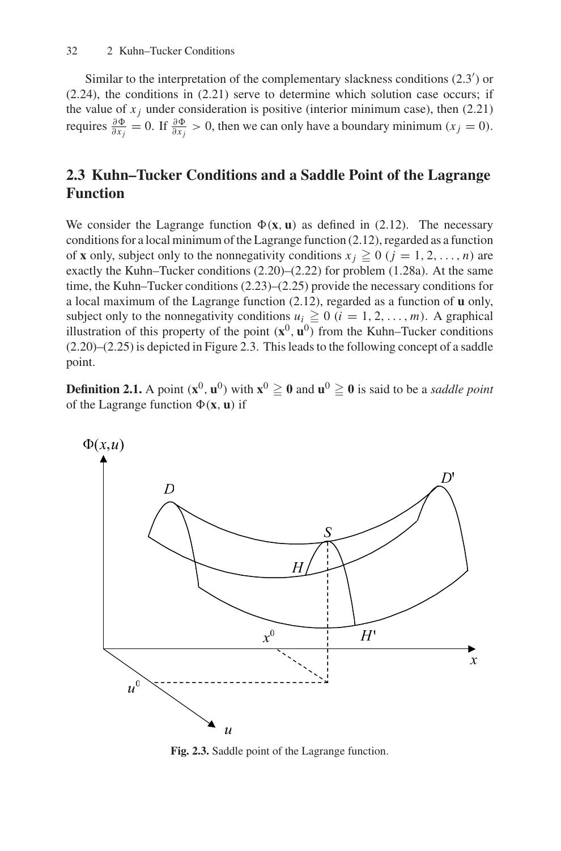Similar to the interpretation of the complementary slackness conditions (2.3 ) or (2.24), the conditions in (2.21) serve to determine which solution case occurs; if the value of  $x_j$  under consideration is positive (interior minimum case), then  $(2.21)$ requires  $\frac{\partial \Phi}{\partial x_j} = 0$ . If  $\frac{\partial \Phi}{\partial x_j} > 0$ , then we can only have a boundary minimum  $(x_j = 0)$ .

## **2.3 Kuhn–Tucker Conditions and a Saddle Point of the Lagrange Function**

We consider the Lagrange function  $\Phi(\mathbf{x}, \mathbf{u})$  as defined in (2.12). The necessary conditions for a local minimum of the Lagrange function (2.12), regarded as a function of **x** only, subject only to the nonnegativity conditions  $x_j \ge 0$  ( $j = 1, 2, ..., n$ ) are exactly the Kuhn–Tucker conditions  $(2.20)$ – $(2.22)$  for problem  $(1.28a)$ . At the same time, the Kuhn–Tucker conditions (2.23)–(2.25) provide the necessary conditions for a local maximum of the Lagrange function (2.12), regarded as a function of **u** only, subject only to the nonnegativity conditions  $u_i \ge 0$  ( $i = 1, 2, ..., m$ ). A graphical illustration of this property of the point  $(\mathbf{x}^0, \mathbf{u}^0)$  from the Kuhn–Tucker conditions (2.20)–(2.25) is depicted in Figure 2.3. This leads to the following concept of a saddle point.

**Definition 2.1.** A point  $(\mathbf{x}^0, \mathbf{u}^0)$  with  $\mathbf{x}^0 \geq \mathbf{0}$  and  $\mathbf{u}^0 \geq \mathbf{0}$  is said to be a *saddle point* of the Lagrange function  $\Phi(\mathbf{x}, \mathbf{u})$  if



**Fig. 2.3.** Saddle point of the Lagrange function.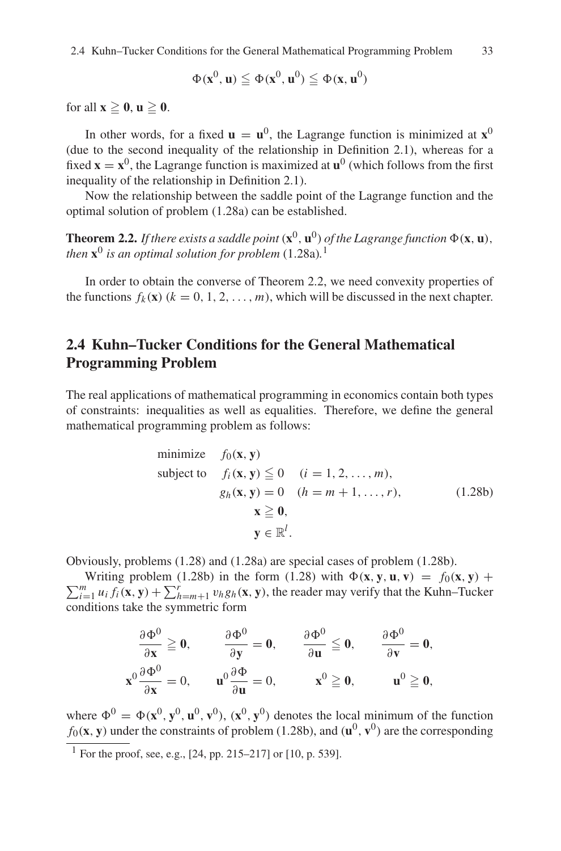$$
\Phi(\mathbf{x}^0, \mathbf{u}) \leq \Phi(\mathbf{x}^0, \mathbf{u}^0) \leq \Phi(\mathbf{x}, \mathbf{u}^0)
$$

for all  $\mathbf{x} \geq \mathbf{0}$ ,  $\mathbf{u} \geq \mathbf{0}$ .

In other words, for a fixed  $\mathbf{u} = \mathbf{u}^0$ , the Lagrange function is minimized at  $\mathbf{x}^0$ (due to the second inequality of the relationship in Definition 2.1), whereas for a fixed  $\mathbf{x} = \mathbf{x}^0$ , the Lagrange function is maximized at  $\mathbf{u}^0$  (which follows from the first inequality of the relationship in Definition 2.1).

Now the relationship between the saddle point of the Lagrange function and the optimal solution of problem (1.28a) can be established.

**Theorem 2.2.** *If there exists a saddle point*  $(\mathbf{x}^0, \mathbf{u}^0)$  *of the Lagrange function*  $\Phi(\mathbf{x}, \mathbf{u})$ *, then* **x**<sup>0</sup> *is an optimal solution for problem* (1.28a)*.* 1

In order to obtain the converse of Theorem 2.2, we need convexity properties of the functions  $f_k(\mathbf{x})$  ( $k = 0, 1, 2, \ldots, m$ ), which will be discussed in the next chapter.

## **2.4 Kuhn–Tucker Conditions for the General Mathematical Programming Problem**

The real applications of mathematical programming in economics contain both types of constraints: inequalities as well as equalities. Therefore, we define the general mathematical programming problem as follows:

minimize 
$$
f_0(\mathbf{x}, \mathbf{y})
$$
  
\nsubject to  $f_i(\mathbf{x}, \mathbf{y}) \le 0$   $(i = 1, 2, ..., m),$   
\n $g_h(\mathbf{x}, \mathbf{y}) = 0$   $(h = m + 1, ..., r),$   
\n $\mathbf{x} \ge 0,$   
\n $\mathbf{y} \in \mathbb{R}^l.$  (1.28b)

Obviously, problems (1.28) and (1.28a) are special cases of problem (1.28b).

Writing problem (1.28b) in the form (1.28) with  $\Phi(\mathbf{x}, \mathbf{y}, \mathbf{u}, \mathbf{v}) = f_0(\mathbf{x}, \mathbf{y}) + \sum_{i=1}^m u_i f_i(\mathbf{x}, \mathbf{y}) + \sum_{h=m+1}^r v_h g_h(\mathbf{x}, \mathbf{y})$ , the reader may verify that the Kuhn–Tucker conditions take the symmetric form

$$
\frac{\partial \Phi^0}{\partial x} \geq 0, \qquad \frac{\partial \Phi^0}{\partial y} = 0, \qquad \frac{\partial \Phi^0}{\partial u} \leq 0, \qquad \frac{\partial \Phi^0}{\partial v} = 0,
$$
  

$$
x^0 \frac{\partial \Phi^0}{\partial x} = 0, \qquad u^0 \frac{\partial \Phi}{\partial u} = 0, \qquad x^0 \geq 0, \qquad u^0 \geq 0,
$$

where  $\Phi^0 = \Phi(\mathbf{x}^0, \mathbf{y}^0, \mathbf{u}^0, \mathbf{v}^0)$ ,  $(\mathbf{x}^0, \mathbf{y}^0)$  denotes the local minimum of the function  $f_0$ (**x***,* **y**) under the constraints of problem (1.28b), and ( $\mathbf{u}^0$ ,  $\mathbf{v}^0$ ) are the corresponding

 $\frac{1}{1}$  For the proof, see, e.g., [24, pp. 215–217] or [10, p. 539].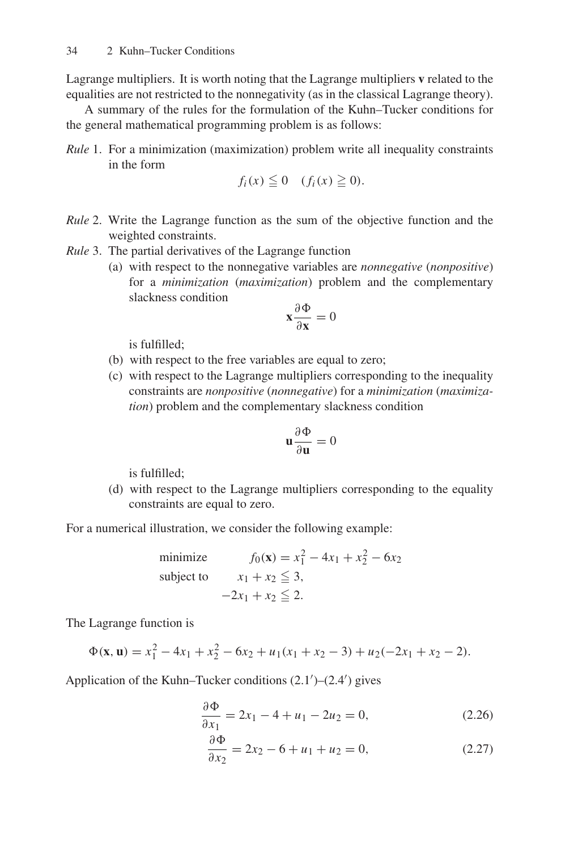Lagrange multipliers. It is worth noting that the Lagrange multipliers **v** related to the equalities are not restricted to the nonnegativity (as in the classical Lagrange theory).

A summary of the rules for the formulation of the Kuhn–Tucker conditions for the general mathematical programming problem is as follows:

*Rule* 1. For a minimization (maximization) problem write all inequality constraints in the form

$$
f_i(x) \leqq 0 \quad (f_i(x) \geqq 0).
$$

- *Rule* 2. Write the Lagrange function as the sum of the objective function and the weighted constraints.
- *Rule* 3. The partial derivatives of the Lagrange function
	- (a) with respect to the nonnegative variables are *nonnegative* (*nonpositive*) for a *minimization* (*maximization*) problem and the complementary slackness condition

$$
\mathbf{x}\frac{\partial\Phi}{\partial\mathbf{x}}=0
$$

is fulfilled;

- (b) with respect to the free variables are equal to zero;
- (c) with respect to the Lagrange multipliers corresponding to the inequality constraints are *nonpositive* (*nonnegative*) for a *minimization* (*maximization*) problem and the complementary slackness condition

$$
\mathbf{u}\frac{\partial \Phi}{\partial \mathbf{u}}=0
$$

is fulfilled;

(d) with respect to the Lagrange multipliers corresponding to the equality constraints are equal to zero.

For a numerical illustration, we consider the following example:

minimize 
$$
f_0(\mathbf{x}) = x_1^2 - 4x_1 + x_2^2 - 6x_2
$$
  
subject to  $x_1 + x_2 \le 3$ ,  
 $-2x_1 + x_2 \le 2$ .

The Lagrange function is

$$
\Phi(\mathbf{x}, \mathbf{u}) = x_1^2 - 4x_1 + x_2^2 - 6x_2 + u_1(x_1 + x_2 - 3) + u_2(-2x_1 + x_2 - 2).
$$

Application of the Kuhn–Tucker conditions  $(2.1')$ – $(2.4')$  gives

$$
\frac{\partial \Phi}{\partial x_1} = 2x_1 - 4 + u_1 - 2u_2 = 0, \tag{2.26}
$$

$$
\frac{\partial \Phi}{\partial x_2} = 2x_2 - 6 + u_1 + u_2 = 0, \tag{2.27}
$$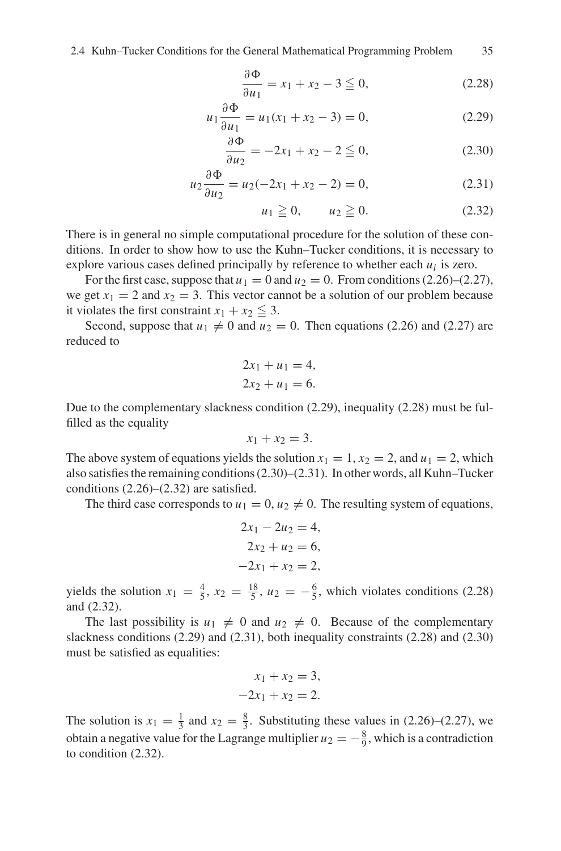$$
\frac{\partial \Phi}{\partial u_1} = x_1 + x_2 - 3 \leq 0,
$$
\n(2.28)

$$
u_1 \frac{\partial \Phi}{\partial u_1} = u_1(x_1 + x_2 - 3) = 0,\tag{2.29}
$$

$$
\frac{\partial \Phi}{\partial u_2} = -2x_1 + x_2 - 2 \leq 0,\tag{2.30}
$$

$$
u_2 \frac{\partial \Phi}{\partial u_2} = u_2(-2x_1 + x_2 - 2) = 0,\tag{2.31}
$$

$$
u_1 \geqq 0, \qquad u_2 \geqq 0. \tag{2.32}
$$

There is in general no simple computational procedure for the solution of these conditions. In order to show how to use the Kuhn–Tucker conditions, it is necessary to explore various cases defined principally by reference to whether each *ui* is zero.

For the first case, suppose that  $u_1 = 0$  and  $u_2 = 0$ . From conditions (2.26)–(2.27), we get  $x_1 = 2$  and  $x_2 = 3$ . This vector cannot be a solution of our problem because it violates the first constraint  $x_1 + x_2 \leq 3$ .

Second, suppose that  $u_1 \neq 0$  and  $u_2 = 0$ . Then equations (2.26) and (2.27) are reduced to

$$
2x_1 + u_1 = 4, \n2x_2 + u_1 = 6.
$$

Due to the complementary slackness condition (2.29), inequality (2.28) must be fulfilled as the equality

$$
x_1 + x_2 = 3.
$$

The above system of equations yields the solution  $x_1 = 1$ ,  $x_2 = 2$ , and  $u_1 = 2$ , which also satisfies the remaining conditions (2.30)–(2.31). In other words, all Kuhn–Tucker conditions (2.26)–(2.32) are satisfied.

The third case corresponds to  $u_1 = 0$ ,  $u_2 \neq 0$ . The resulting system of equations,

$$
2x_1 - 2u_2 = 4,
$$
  

$$
2x_2 + u_2 = 6,
$$
  

$$
-2x_1 + x_2 = 2,
$$

yields the solution  $x_1 = \frac{4}{5}$ ,  $x_2 = \frac{18}{5}$ ,  $u_2 = -\frac{6}{5}$ , which violates conditions (2.28) and (2.32).

The last possibility is  $u_1 \neq 0$  and  $u_2 \neq 0$ . Because of the complementary slackness conditions (2.29) and (2.31), both inequality constraints (2.28) and (2.30) must be satisfied as equalities:

$$
x_1 + x_2 = 3, \n-2x_1 + x_2 = 2.
$$

The solution is  $x_1 = \frac{1}{3}$  and  $x_2 = \frac{8}{3}$ . Substituting these values in (2.26)–(2.27), we obtain a negative value for the Lagrange multiplier  $u_2 = -\frac{8}{9}$ , which is a contradiction to condition (2.32).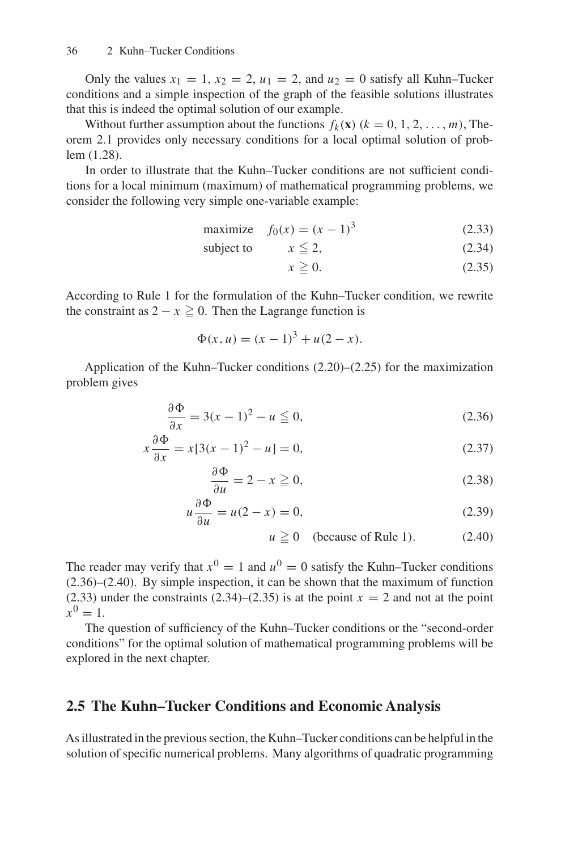#### 36 2 Kuhn–Tucker Conditions

Only the values  $x_1 = 1$ ,  $x_2 = 2$ ,  $u_1 = 2$ , and  $u_2 = 0$  satisfy all Kuhn–Tucker conditions and a simple inspection of the graph of the feasible solutions illustrates that this is indeed the optimal solution of our example.

Without further assumption about the functions  $f_k(\mathbf{x})$  ( $k = 0, 1, 2, \ldots, m$ ), Theorem 2.1 provides only necessary conditions for a local optimal solution of problem (1.28).

In order to illustrate that the Kuhn–Tucker conditions are not sufficient conditions for a local minimum (maximum) of mathematical programming problems, we consider the following very simple one-variable example:

maximize 
$$
f_0(x) = (x - 1)^3
$$
 (2.33)

$$
subject to \t x \le 2, \t (2.34)
$$

$$
x \ge 0. \tag{2.35}
$$

According to Rule 1 for the formulation of the Kuhn–Tucker condition, we rewrite the constraint as  $2 - x \ge 0$ . Then the Lagrange function is

$$
\Phi(x, u) = (x - 1)^3 + u(2 - x).
$$

Application of the Kuhn–Tucker conditions (2.20)–(2.25) for the maximization problem gives

$$
\frac{\partial \Phi}{\partial x} = 3(x - 1)^2 - u \le 0,
$$
\n(2.36)

$$
x\frac{\partial \Phi}{\partial x} = x[3(x-1)^2 - u] = 0,\tag{2.37}
$$

$$
\frac{\partial \Phi}{\partial u} = 2 - x \ge 0,\tag{2.38}
$$

$$
u\frac{\partial \Phi}{\partial u} = u(2 - x) = 0,\tag{2.39}
$$

$$
u \ge 0 \quad \text{(because of Rule 1).} \tag{2.40}
$$

The reader may verify that  $x^0 = 1$  and  $u^0 = 0$  satisfy the Kuhn–Tucker conditions (2.36)–(2.40). By simple inspection, it can be shown that the maximum of function (2.33) under the constraints (2.34)–(2.35) is at the point  $x = 2$  and not at the point  $x^0 = 1$ .

The question of sufficiency of the Kuhn–Tucker conditions or the "second-order conditions" for the optimal solution of mathematical programming problems will be explored in the next chapter.

## **2.5 The Kuhn–Tucker Conditions and Economic Analysis**

As illustrated in the previous section, the Kuhn–Tucker conditions can be helpful in the solution of specific numerical problems. Many algorithms of quadratic programming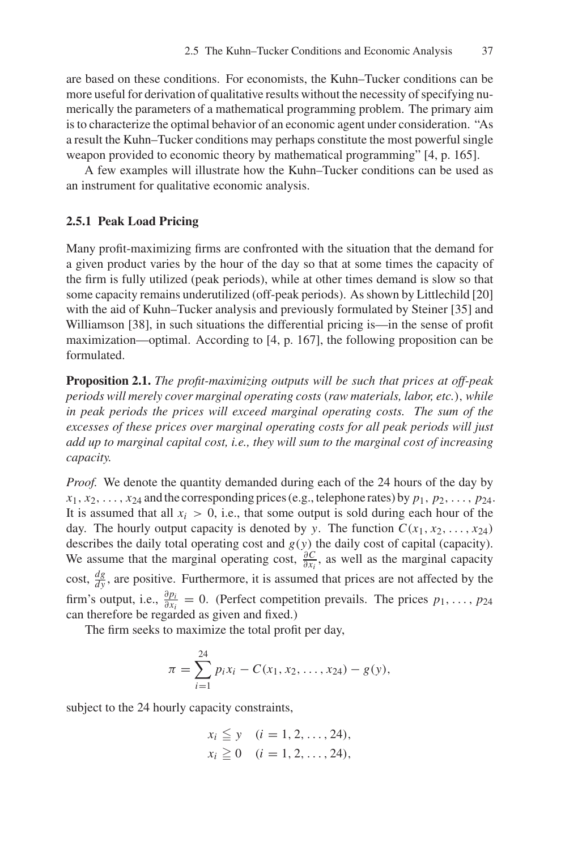are based on these conditions. For economists, the Kuhn–Tucker conditions can be more useful for derivation of qualitative results without the necessity of specifying numerically the parameters of a mathematical programming problem. The primary aim is to characterize the optimal behavior of an economic agent under consideration. "As a result the Kuhn–Tucker conditions may perhaps constitute the most powerful single weapon provided to economic theory by mathematical programming" [4, p. 165].

A few examples will illustrate how the Kuhn–Tucker conditions can be used as an instrument for qualitative economic analysis.

#### **2.5.1 Peak Load Pricing**

Many profit-maximizing firms are confronted with the situation that the demand for a given product varies by the hour of the day so that at some times the capacity of the firm is fully utilized (peak periods), while at other times demand is slow so that some capacity remains underutilized (off-peak periods). As shown by Littlechild [20] with the aid of Kuhn–Tucker analysis and previously formulated by Steiner [35] and Williamson [38], in such situations the differential pricing is—in the sense of profit maximization—optimal. According to [4, p. 167], the following proposition can be formulated.

**Proposition 2.1.** *The profit-maximizing outputs will be such that prices at off-peak periods will merely cover marginal operating costs (raw materials, labor, etc.), while in peak periods the prices will exceed marginal operating costs. The sum of the excesses of these prices over marginal operating costs for all peak periods will just add up to marginal capital cost, i.e., they will sum to the marginal cost of increasing capacity.*

*Proof.* We denote the quantity demanded during each of the 24 hours of the day by  $x_1, x_2, \ldots, x_{24}$  and the corresponding prices (e.g., telephone rates) by  $p_1, p_2, \ldots, p_{24}$ . It is assumed that all  $x_i > 0$ , i.e., that some output is sold during each hour of the day. The hourly output capacity is denoted by *y*. The function  $C(x_1, x_2, \ldots, x_{24})$ describes the daily total operating cost and  $g(y)$  the daily cost of capital (capacity). We assume that the marginal operating cost,  $\frac{\partial C}{\partial x_i}$ , as well as the marginal capacity cost,  $\frac{dg}{dy}$ , are positive. Furthermore, it is assumed that prices are not affected by the firm's output, i.e.,  $\frac{\partial p_i}{\partial x_i} = 0$ . (Perfect competition prevails. The prices  $p_1, \ldots, p_{24}$ can therefore be regarded as given and fixed.)

The firm seeks to maximize the total profit per day,

$$
\pi = \sum_{i=1}^{24} p_i x_i - C(x_1, x_2, \dots, x_{24}) - g(y),
$$

subject to the 24 hourly capacity constraints,

 $x_i \leq y \quad (i = 1, 2, \ldots, 24)$  $x_i \ge 0 \quad (i = 1, 2, \ldots, 24),$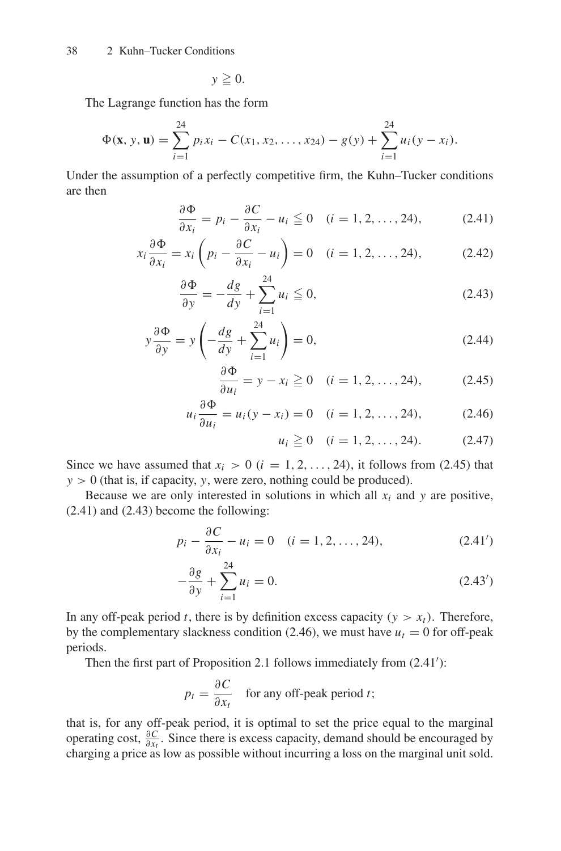$$
y\geqq 0.
$$

The Lagrange function has the form

$$
\Phi(\mathbf{x}, y, \mathbf{u}) = \sum_{i=1}^{24} p_i x_i - C(x_1, x_2, \dots, x_{24}) - g(y) + \sum_{i=1}^{24} u_i (y - x_i).
$$

Under the assumption of a perfectly competitive firm, the Kuhn–Tucker conditions are then

$$
\frac{\partial \Phi}{\partial x_i} = p_i - \frac{\partial C}{\partial x_i} - u_i \leq 0 \quad (i = 1, 2, ..., 24), \tag{2.41}
$$

$$
x_i \frac{\partial \Phi}{\partial x_i} = x_i \left( p_i - \frac{\partial C}{\partial x_i} - u_i \right) = 0 \quad (i = 1, 2, \dots, 24), \tag{2.42}
$$

$$
\frac{\partial \Phi}{\partial y} = -\frac{dg}{dy} + \sum_{i=1}^{24} u_i \leq 0,
$$
\n(2.43)

$$
y\frac{\partial \Phi}{\partial y} = y\left(-\frac{dg}{dy} + \sum_{i=1}^{24} u_i\right) = 0,\tag{2.44}
$$

$$
\frac{\partial \Phi}{\partial u_i} = y - x_i \ge 0 \quad (i = 1, 2, \dots, 24), \tag{2.45}
$$

$$
u_i \frac{\partial \Phi}{\partial u_i} = u_i(y - x_i) = 0 \quad (i = 1, 2, \dots, 24), \tag{2.46}
$$

$$
u_i \ge 0 \quad (i = 1, 2, \dots, 24). \tag{2.47}
$$

Since we have assumed that  $x_i > 0$  ( $i = 1, 2, ..., 24$ ), it follows from (2.45) that *y >* 0 (that is, if capacity, *y*, were zero, nothing could be produced).

Because we are only interested in solutions in which all  $x_i$  and  $y$  are positive, (2.41) and (2.43) become the following:

$$
p_i - \frac{\partial C}{\partial x_i} - u_i = 0 \quad (i = 1, 2, ..., 24),
$$
 (2.41')

$$
-\frac{\partial g}{\partial y} + \sum_{i=1}^{24} u_i = 0.
$$
 (2.43')

In any off-peak period *t*, there is by definition excess capacity  $(y > x_t)$ . Therefore, by the complementary slackness condition (2.46), we must have  $u_t = 0$  for off-peak periods.

Then the first part of Proposition 2.1 follows immediately from  $(2.41')$ :

$$
p_t = \frac{\partial C}{\partial x_t}
$$
 for any off-peak period *t*;

that is, for any off-peak period, it is optimal to set the price equal to the marginal operating cost,  $\frac{\partial C}{\partial x_t}$ . Since there is excess capacity, demand should be encouraged by charging a price as low as possible without incurring a loss on the marginal unit sold.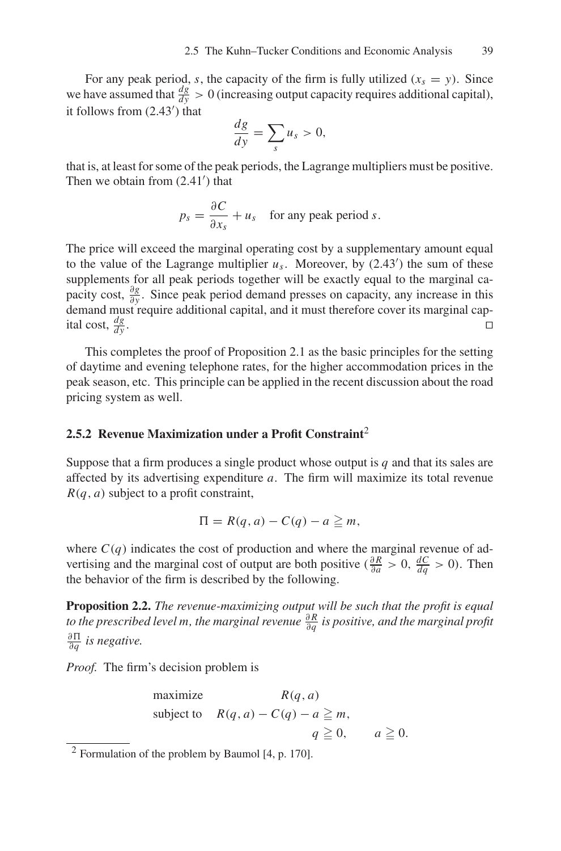For any peak period, *s*, the capacity of the firm is fully utilized  $(x_s = y)$ . Since we have assumed that  $\frac{dg}{dy} > 0$  (increasing output capacity requires additional capital), it follows from (2.43 ) that

$$
\frac{dg}{dy} = \sum_s u_s > 0,
$$

that is, at least for some of the peak periods, the Lagrange multipliers must be positive. Then we obtain from  $(2.41')$  that

$$
p_s = \frac{\partial C}{\partial x_s} + u_s \quad \text{for any peak period } s.
$$

The price will exceed the marginal operating cost by a supplementary amount equal to the value of the Lagrange multiplier  $u_s$ . Moreover, by  $(2.43')$  the sum of these supplements for all peak periods together will be exactly equal to the marginal capacity cost,  $\frac{\partial g}{\partial y}$ . Since peak period demand presses on capacity, any increase in this demand must require additional capital, and it must therefore cover its marginal capital cost,  $\frac{dg}{dx}$ .  $\frac{ag}{dy}$ .

This completes the proof of Proposition 2.1 as the basic principles for the setting of daytime and evening telephone rates, for the higher accommodation prices in the peak season, etc. This principle can be applied in the recent discussion about the road pricing system as well.

## **2.5.2 Revenue Maximization under a Profit Constraint**<sup>2</sup>

Suppose that a firm produces a single product whose output is *q* and that its sales are affected by its advertising expenditure *a*. The firm will maximize its total revenue *R(q, a)* subject to a profit constraint,

$$
\Pi = R(q, a) - C(q) - a \geqq m,
$$

where  $C(q)$  indicates the cost of production and where the marginal revenue of advertising and the marginal cost of output are both positive  $(\frac{\partial R}{\partial a} > 0, \frac{dC}{dq} > 0)$ . Then the behavior of the firm is described by the following.

**Proposition 2.2.** *The revenue-maximizing output will be such that the profit is equal to the prescribed level m, the marginal revenue ∂R ∂q is positive, and the marginal profit ∂ ∂q is negative.*

*Proof.* The firm's decision problem is

maximize 
$$
R(q, a)
$$
  
subject to  $R(q, a) - C(q) - a \ge m$ ,  
 $q \ge 0$ ,  $a \ge 0$ .

 $\frac{2}{7}$  Formulation of the problem by Baumol [4, p. 170].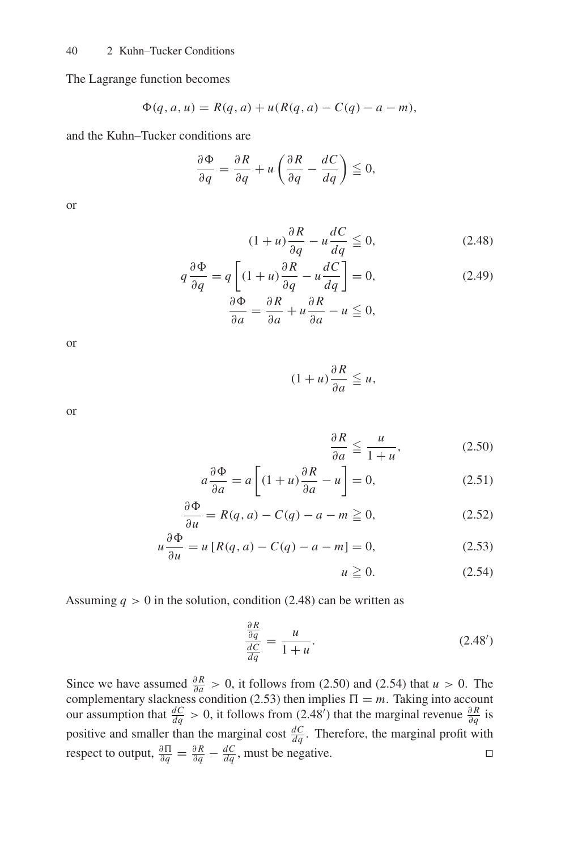#### 40 2 Kuhn–Tucker Conditions

The Lagrange function becomes

$$
\Phi(q, a, u) = R(q, a) + u(R(q, a) - C(q) - a - m),
$$

and the Kuhn–Tucker conditions are

$$
\frac{\partial \Phi}{\partial q} = \frac{\partial R}{\partial q} + u \left( \frac{\partial R}{\partial q} - \frac{dC}{dq} \right) \leq 0,
$$

or

$$
(1+u)\frac{\partial R}{\partial q} - u\frac{dC}{dq} \leq 0, \qquad (2.48)
$$

$$
q \frac{\partial \Phi}{\partial q} = q \left[ (1+u) \frac{\partial R}{\partial q} - u \frac{dC}{dq} \right] = 0,
$$
\n
$$
\frac{\partial \Phi}{\partial a} = \frac{\partial R}{\partial a} + u \frac{\partial R}{\partial a} - u \leq 0,
$$
\n(2.49)

or

$$
(1+u)\frac{\partial R}{\partial a}\leqq u,
$$

or

$$
\frac{\partial R}{\partial a} \le \frac{u}{1+u},\tag{2.50}
$$

$$
a\frac{\partial \Phi}{\partial a} = a\left[ (1+u)\frac{\partial R}{\partial a} - u \right] = 0, \tag{2.51}
$$

$$
\frac{\partial \Phi}{\partial u} = R(q, a) - C(q) - a - m \ge 0,
$$
\n(2.52)

$$
u\frac{\partial \Phi}{\partial u} = u\left[R(q, a) - C(q) - a - m\right] = 0,\tag{2.53}
$$

 $u \geq 0$ .  $(2.54)$ 

Assuming  $q > 0$  in the solution, condition (2.48) can be written as

$$
\frac{\frac{\partial R}{\partial q}}{\frac{dC}{dq}} = \frac{u}{1+u}.\tag{2.48'}
$$

Since we have assumed  $\frac{\partial R}{\partial a} > 0$ , it follows from (2.50) and (2.54) that *u* > 0. The complementary slackness condition (2.53) then implies  $\Pi = m$ . Taking into account our assumption that  $\frac{dC}{dq} > 0$ , it follows from (2.48<sup>'</sup>) that the marginal revenue  $\frac{\partial R}{\partial q}$  is positive and smaller than the marginal cost  $\frac{dC}{dq}$ . Therefore, the marginal profit with respect to output,  $\frac{\partial \Pi}{\partial q} = \frac{\partial R}{\partial q} - \frac{dC}{dq}$ , must be negative. □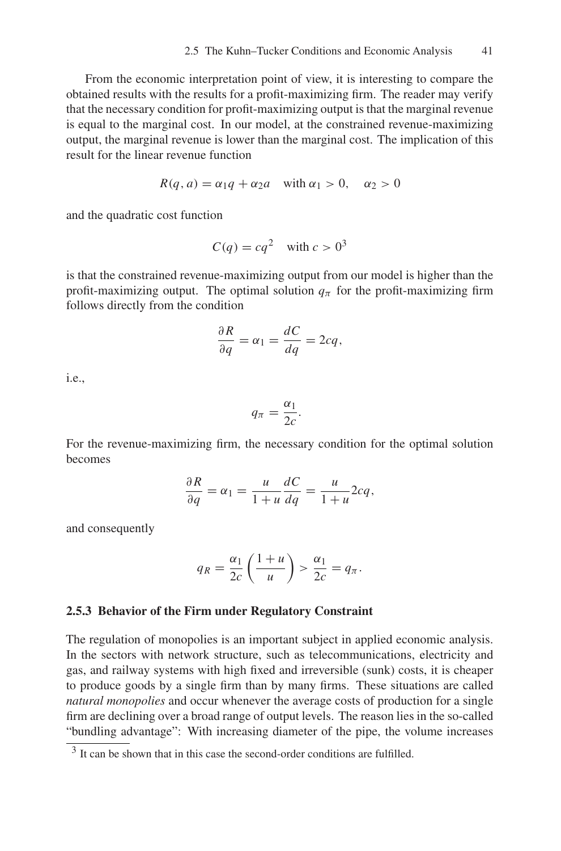From the economic interpretation point of view, it is interesting to compare the obtained results with the results for a profit-maximizing firm. The reader may verify that the necessary condition for profit-maximizing output is that the marginal revenue is equal to the marginal cost. In our model, at the constrained revenue-maximizing output, the marginal revenue is lower than the marginal cost. The implication of this result for the linear revenue function

$$
R(q, a) = \alpha_1 q + \alpha_2 a \quad \text{with } \alpha_1 > 0, \quad \alpha_2 > 0
$$

and the quadratic cost function

$$
C(q) = cq^2 \quad \text{with } c > 0^3
$$

is that the constrained revenue-maximizing output from our model is higher than the profit-maximizing output. The optimal solution  $q_{\pi}$  for the profit-maximizing firm follows directly from the condition

$$
\frac{\partial R}{\partial q} = \alpha_1 = \frac{dC}{dq} = 2cq,
$$

i.e.,

$$
q_{\pi}=\frac{\alpha_1}{2c}.
$$

For the revenue-maximizing firm, the necessary condition for the optimal solution becomes

$$
\frac{\partial R}{\partial q} = \alpha_1 = \frac{u}{1+u} \frac{dC}{dq} = \frac{u}{1+u} 2cq,
$$

and consequently

$$
q_R = \frac{\alpha_1}{2c} \left( \frac{1+u}{u} \right) > \frac{\alpha_1}{2c} = q_\pi.
$$

#### **2.5.3 Behavior of the Firm under Regulatory Constraint**

The regulation of monopolies is an important subject in applied economic analysis. In the sectors with network structure, such as telecommunications, electricity and gas, and railway systems with high fixed and irreversible (sunk) costs, it is cheaper to produce goods by a single firm than by many firms. These situations are called *natural monopolies* and occur whenever the average costs of production for a single firm are declining over a broad range of output levels. The reason lies in the so-called "bundling advantage": With increasing diameter of the pipe, the volume increases

 $3$  It can be shown that in this case the second-order conditions are fulfilled.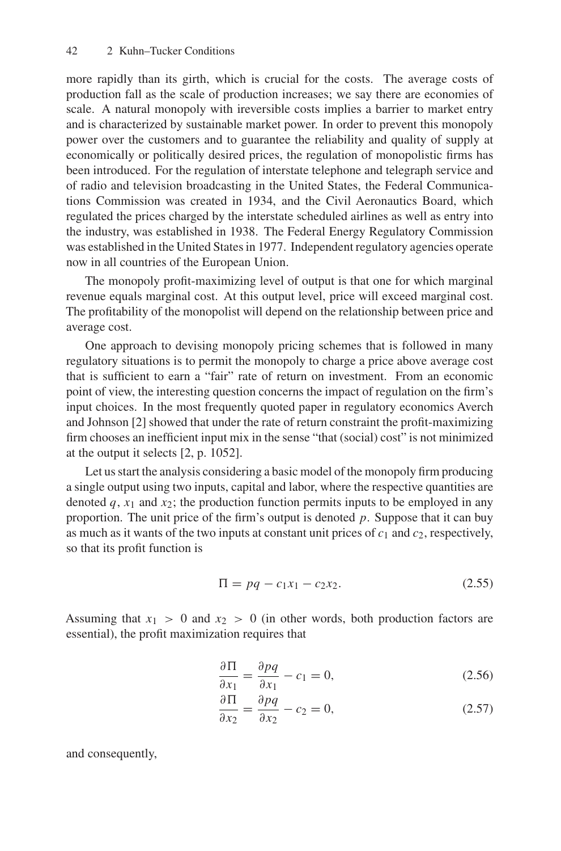more rapidly than its girth, which is crucial for the costs. The average costs of production fall as the scale of production increases; we say there are economies of scale. A natural monopoly with ireversible costs implies a barrier to market entry and is characterized by sustainable market power. In order to prevent this monopoly power over the customers and to guarantee the reliability and quality of supply at economically or politically desired prices, the regulation of monopolistic firms has been introduced. For the regulation of interstate telephone and telegraph service and of radio and television broadcasting in the United States, the Federal Communications Commission was created in 1934, and the Civil Aeronautics Board, which regulated the prices charged by the interstate scheduled airlines as well as entry into the industry, was established in 1938. The Federal Energy Regulatory Commission was established in the United States in 1977. Independent regulatory agencies operate now in all countries of the European Union.

The monopoly profit-maximizing level of output is that one for which marginal revenue equals marginal cost. At this output level, price will exceed marginal cost. The profitability of the monopolist will depend on the relationship between price and average cost.

One approach to devising monopoly pricing schemes that is followed in many regulatory situations is to permit the monopoly to charge a price above average cost that is sufficient to earn a "fair" rate of return on investment. From an economic point of view, the interesting question concerns the impact of regulation on the firm's input choices. In the most frequently quoted paper in regulatory economics Averch and Johnson [2] showed that under the rate of return constraint the profit-maximizing firm chooses an inefficient input mix in the sense "that (social) cost" is not minimized at the output it selects [2, p. 1052].

Let us start the analysis considering a basic model of the monopoly firm producing a single output using two inputs, capital and labor, where the respective quantities are denoted  $q$ ,  $x_1$  and  $x_2$ ; the production function permits inputs to be employed in any proportion. The unit price of the firm's output is denoted *p*. Suppose that it can buy as much as it wants of the two inputs at constant unit prices of *c*<sup>1</sup> and *c*2, respectively, so that its profit function is

$$
\Pi = pq - c_1 x_1 - c_2 x_2. \tag{2.55}
$$

Assuming that  $x_1 > 0$  and  $x_2 > 0$  (in other words, both production factors are essential), the profit maximization requires that

$$
\frac{\partial \Pi}{\partial x_1} = \frac{\partial pq}{\partial x_1} - c_1 = 0,\tag{2.56}
$$

$$
\frac{\partial \Pi}{\partial x_2} = \frac{\partial pq}{\partial x_2} - c_2 = 0,\tag{2.57}
$$

and consequently,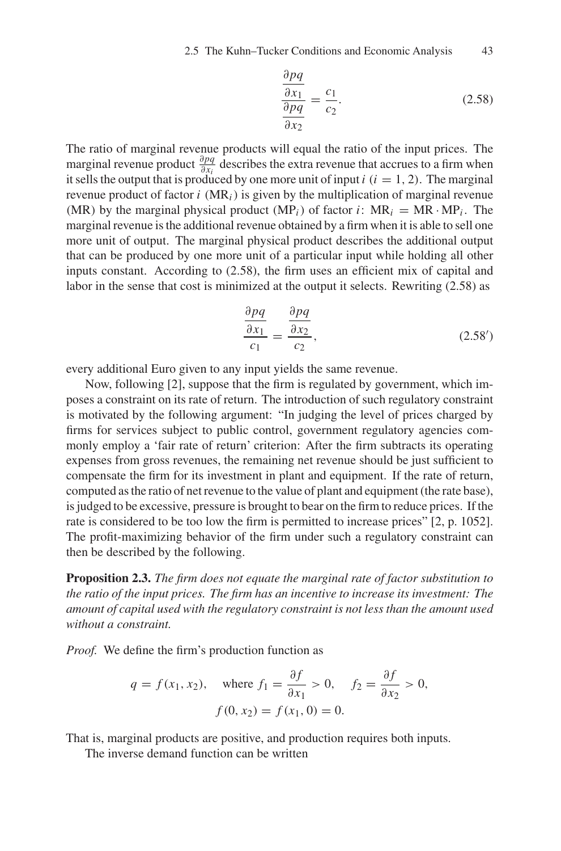$$
\frac{\frac{\partial pq}{\partial x_1}}{\frac{\partial pq}{\partial x_2}} = \frac{c_1}{c_2}.
$$
\n(2.58)

The ratio of marginal revenue products will equal the ratio of the input prices. The marginal revenue product  $\frac{\partial pq}{\partial x_i}$  describes the extra revenue that accrues to a firm when it sells the output that is produced by one more unit of input  $i$   $(i = 1, 2)$ . The marginal revenue product of factor *i (*MR*i)* is given by the multiplication of marginal revenue *(MR)* by the marginal physical product *(MP<sub>i</sub>)* of factor *i*:  $MR_i = MR \cdot MP_i$ . The marginal revenue is the additional revenue obtained by a firm when it is able to sell one more unit of output. The marginal physical product describes the additional output that can be produced by one more unit of a particular input while holding all other inputs constant. According to (2.58), the firm uses an efficient mix of capital and labor in the sense that cost is minimized at the output it selects. Rewriting (2.58) as

$$
\frac{\partial pq}{\partial x_1}_{C_1} = \frac{\partial pq}{\partial x_2}_{C_2},\tag{2.58'}
$$

every additional Euro given to any input yields the same revenue.

Now, following [2], suppose that the firm is regulated by government, which imposes a constraint on its rate of return. The introduction of such regulatory constraint is motivated by the following argument: "In judging the level of prices charged by firms for services subject to public control, government regulatory agencies commonly employ a 'fair rate of return' criterion: After the firm subtracts its operating expenses from gross revenues, the remaining net revenue should be just sufficient to compensate the firm for its investment in plant and equipment. If the rate of return, computed as the ratio of net revenue to the value of plant and equipment (the rate base), is judged to be excessive, pressure is brought to bear on the firm to reduce prices. If the rate is considered to be too low the firm is permitted to increase prices" [2, p. 1052]. The profit-maximizing behavior of the firm under such a regulatory constraint can then be described by the following.

**Proposition 2.3.** *The firm does not equate the marginal rate of factor substitution to the ratio of the input prices. The firm has an incentive to increase its investment: The amount of capital used with the regulatory constraint is not less than the amount used without a constraint.*

*Proof.* We define the firm's production function as

$$
q = f(x_1, x_2)
$$
, where  $f_1 = \frac{\partial f}{\partial x_1} > 0$ ,  $f_2 = \frac{\partial f}{\partial x_2} > 0$ ,  
 $f(0, x_2) = f(x_1, 0) = 0$ .

That is, marginal products are positive, and production requires both inputs.

The inverse demand function can be written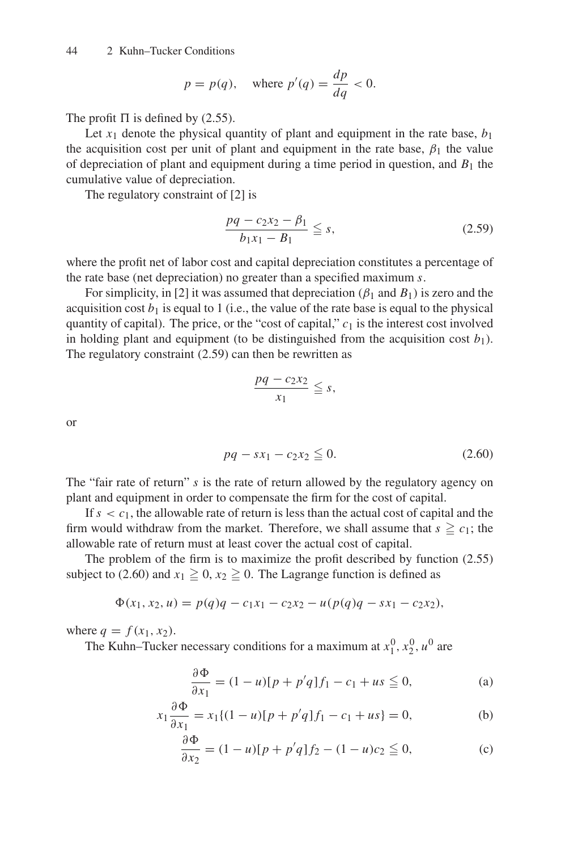$$
p = p(q)
$$
, where  $p'(q) = \frac{dp}{dq} < 0$ .

The profit  $\Pi$  is defined by (2.55).

Let  $x_1$  denote the physical quantity of plant and equipment in the rate base,  $b_1$ the acquisition cost per unit of plant and equipment in the rate base,  $\beta_1$  the value of depreciation of plant and equipment during a time period in question, and  $B_1$  the cumulative value of depreciation.

The regulatory constraint of [2] is

$$
\frac{pq - c_2 x_2 - \beta_1}{b_1 x_1 - B_1} \leqq s,
$$
\n(2.59)

where the profit net of labor cost and capital depreciation constitutes a percentage of the rate base (net depreciation) no greater than a specified maximum *s*.

For simplicity, in [2] it was assumed that depreciation  $(\beta_1$  and  $B_1)$  is zero and the acquisition cost  $b_1$  is equal to 1 (i.e., the value of the rate base is equal to the physical quantity of capital). The price, or the "cost of capital,"  $c_1$  is the interest cost involved in holding plant and equipment (to be distinguished from the acquisition cost  $b_1$ ). The regulatory constraint (2.59) can then be rewritten as

$$
\frac{pq - c_2 x_2}{x_1} \leqq s,
$$

or

$$
pq - sx_1 - c_2 x_2 \leqq 0. \tag{2.60}
$$

The "fair rate of return" *s* is the rate of return allowed by the regulatory agency on plant and equipment in order to compensate the firm for the cost of capital.

If  $s < c_1$ , the allowable rate of return is less than the actual cost of capital and the firm would withdraw from the market. Therefore, we shall assume that  $s \geq c_1$ ; the allowable rate of return must at least cover the actual cost of capital.

The problem of the firm is to maximize the profit described by function (2.55) subject to (2.60) and  $x_1 \ge 0$ ,  $x_2 \ge 0$ . The Lagrange function is defined as

$$
\Phi(x_1, x_2, u) = p(q)q - c_1x_1 - c_2x_2 - u(p(q)q - sx_1 - c_2x_2),
$$

where  $q = f(x_1, x_2)$ .

The Kuhn–Tucker necessary conditions for a maximum at  $x_1^0, x_2^0, u^0$  are

$$
\frac{\partial \Phi}{\partial x_1} = (1 - u)[p + p'q]f_1 - c_1 + us \leq 0,
$$
 (a)

$$
x_1 \frac{\partial \Phi}{\partial x_1} = x_1 \{ (1 - u)[p + p'q] f_1 - c_1 + us \} = 0,
$$
 (b)

$$
\frac{\partial \Phi}{\partial x_2} = (1 - u)[p + p'q]f_2 - (1 - u)c_2 \leq 0,
$$
 (c)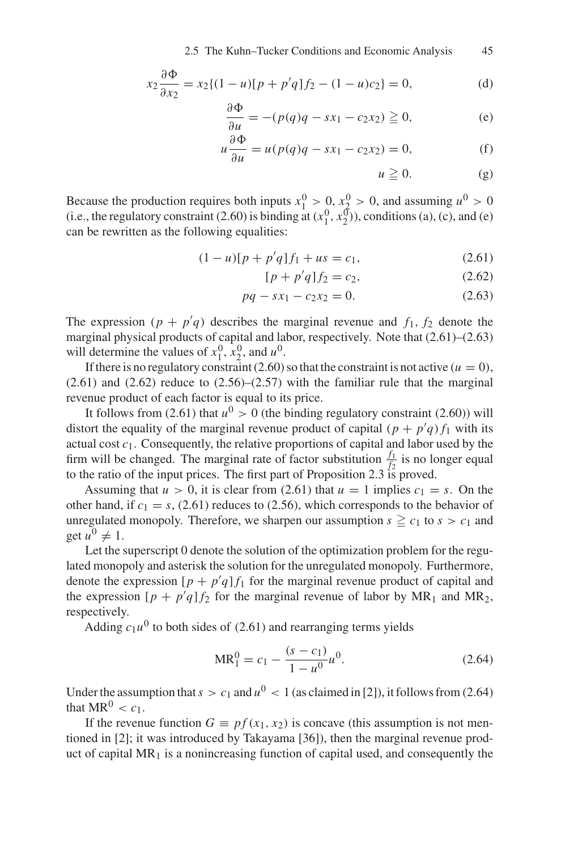$$
x_2 \frac{\partial \Phi}{\partial x_2} = x_2 \{ (1 - u)[p + p'q] f_2 - (1 - u)c_2 \} = 0,
$$
 (d)

$$
\frac{\partial \Phi}{\partial u} = -(p(q)q - sx_1 - c_2x_2) \geqq 0, \tag{e}
$$

$$
u\frac{\partial \Phi}{\partial u} = u(p(q)q - sx_1 - c_2x_2) = 0,\tag{f}
$$

$$
u \geqq 0. \tag{g}
$$

Because the production requires both inputs  $x_1^0 > 0$ ,  $x_2^0 > 0$ , and assuming  $u^0 > 0$ (i.e., the regulatory constraint (2.60) is binding at  $(x_1^0, x_2^0)$ ), conditions (a), (c), and (e) can be rewritten as the following equalities:

$$
(1 - u)[p + p'q]f_1 + us = c_1,
$$
\n(2.61)

$$
[p + p'q]f_2 = c_2,\t(2.62)
$$

$$
pq - sx_1 - c_2 x_2 = 0. \tag{2.63}
$$

The expression  $(p + p'q)$  describes the marginal revenue and  $f_1, f_2$  denote the marginal physical products of capital and labor, respectively. Note that (2.61)–(2.63) will determine the values of  $x_1^0, x_2^0$ , and  $u^0$ .

If there is no regulatory constraint (2.60) so that the constraint is not active  $(u = 0)$ ,  $(2.61)$  and  $(2.62)$  reduce to  $(2.56)$ – $(2.57)$  with the familiar rule that the marginal revenue product of each factor is equal to its price.

It follows from (2.61) that  $u^0 > 0$  (the binding regulatory constraint (2.60)) will distort the equality of the marginal revenue product of capital  $(p + p'q) f_1$  with its actual cost  $c_1$ . Consequently, the relative proportions of capital and labor used by the firm will be changed. The marginal rate of factor substitution  $\frac{f_1}{f_2}$  is no longer equal to the ratio of the input prices. The first part of Proposition 2.3 is proved.

Assuming that  $u > 0$ , it is clear from (2.61) that  $u = 1$  implies  $c_1 = s$ . On the other hand, if  $c_1 = s$ , (2.61) reduces to (2.56), which corresponds to the behavior of unregulated monopoly. Therefore, we sharpen our assumption  $s \ge c_1$  to  $s > c_1$  and get  $u^0 \neq 1$ .

Let the superscript 0 denote the solution of the optimization problem for the regulated monopoly and asterisk the solution for the unregulated monopoly. Furthermore, denote the expression  $[p + p'q]f_1$  for the marginal revenue product of capital and the expression  $[p + p'q]f_2$  for the marginal revenue of labor by  $MR_1$  and  $MR_2$ , respectively.

Adding  $c_1u^0$  to both sides of (2.61) and rearranging terms yields

$$
MR_1^0 = c_1 - \frac{(s - c_1)}{1 - u^0} u^0.
$$
 (2.64)

Under the assumption that  $s > c_1$  and  $u^0 < 1$  (as claimed in [2]), it follows from (2.64) that  $MR^0 < c_1$ .

If the revenue function  $G \equiv pf(x_1, x_2)$  is concave (this assumption is not mentioned in [2]; it was introduced by Takayama [36]), then the marginal revenue product of capital  $MR_1$  is a nonincreasing function of capital used, and consequently the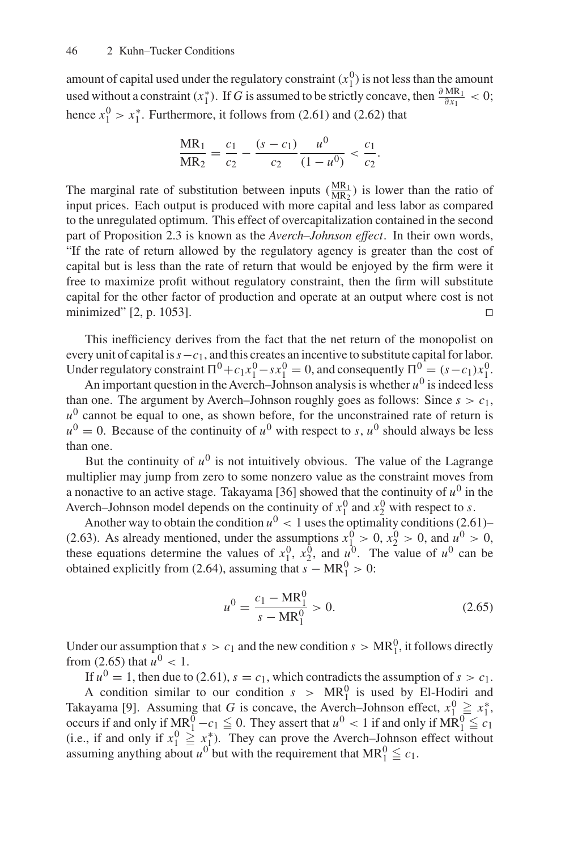amount of capital used under the regulatory constraint  $(x_1^0)$  is not less than the amount used without a constraint  $(x_1^*)$ . If *G* is assumed to be strictly concave, then  $\frac{\partial MR_1}{\partial x_1} < 0$ ; hence  $x_1^0 > x_1^*$ . Furthermore, it follows from (2.61) and (2.62) that

$$
\frac{\text{MR}_1}{\text{MR}_2} = \frac{c_1}{c_2} - \frac{(s - c_1)}{c_2} \frac{u^0}{(1 - u^0)} < \frac{c_1}{c_2}.
$$

The marginal rate of substitution between inputs  $(\frac{MR_1}{MR_2})$  is lower than the ratio of input prices. Each output is produced with more capital and less labor as compared to the unregulated optimum. This effect of overcapitalization contained in the second part of Proposition 2.3 is known as the *Averch–Johnson effect*. In their own words, "If the rate of return allowed by the regulatory agency is greater than the cost of capital but is less than the rate of return that would be enjoyed by the firm were it free to maximize profit without regulatory constraint, then the firm will substitute capital for the other factor of production and operate at an output where cost is not minimized"  $[2, p. 1053]$ .

This inefficiency derives from the fact that the net return of the monopolist on every unit of capital is*s*−*c*1, and this creates an incentive to substitute capital for labor. Under regulatory constraint  $\Pi^0 + c_1 x_1^0 - s x_1^0 = 0$ , and consequently  $\Pi^0 = (s - c_1)x_1^0$ .

An important question in the Averch–Johnson analysis is whether  $u^0$  is indeed less than one. The argument by Averch–Johnson roughly goes as follows: Since  $s > c_1$ ,  $u<sup>0</sup>$  cannot be equal to one, as shown before, for the unconstrained rate of return is  $u^0 = 0$ . Because of the continuity of  $u^0$  with respect to *s*,  $u^0$  should always be less than one.

But the continuity of  $u^0$  is not intuitively obvious. The value of the Lagrange multiplier may jump from zero to some nonzero value as the constraint moves from a nonactive to an active stage. Takayama [36] showed that the continuity of  $u^0$  in the Averch–Johnson model depends on the continuity of  $x_1^0$  and  $x_2^0$  with respect to *s*.

Another way to obtain the condition  $u^0$  < 1 uses the optimality conditions (2.61)– (2.63). As already mentioned, under the assumptions  $x_1^0 > 0$ ,  $x_2^0 > 0$ , and  $u^0 > 0$ , these equations determine the values of  $x_1^0$ ,  $x_2^0$ , and  $u_0^0$ . The value of  $u_0^0$  can be obtained explicitly from (2.64), assuming that  $s - MR_1^0 > 0$ :

$$
u^{0} = \frac{c_{1} - \text{MR}_{1}^{0}}{s - \text{MR}_{1}^{0}} > 0.
$$
 (2.65)

Under our assumption that  $s > c_1$  and the new condition  $s > MR_1^0$ , it follows directly from (2.65) that  $u^0$  < 1.

If  $u^0 = 1$ , then due to (2.61),  $s = c_1$ , which contradicts the assumption of  $s > c_1$ .

A condition similar to our condition  $s > MR_1^0$  is used by El-Hodiri and Takayama [9]. Assuming that *G* is concave, the Averch–Johnson effect,  $x_1^0 \ge x_1^*$ , occurs if and only if  $MR_1^0 - c_1 \leq 0$ . They assert that  $u^0 < 1$  if and only if  $MR_1^0 \leq c_1$ (i.e., if and only if  $x_1^0 \ge x_1^*$ ). They can prove the Averch–Johnson effect without assuming anything about  $u^0$  but with the requirement that  $MR_1^0 \le c_1$ .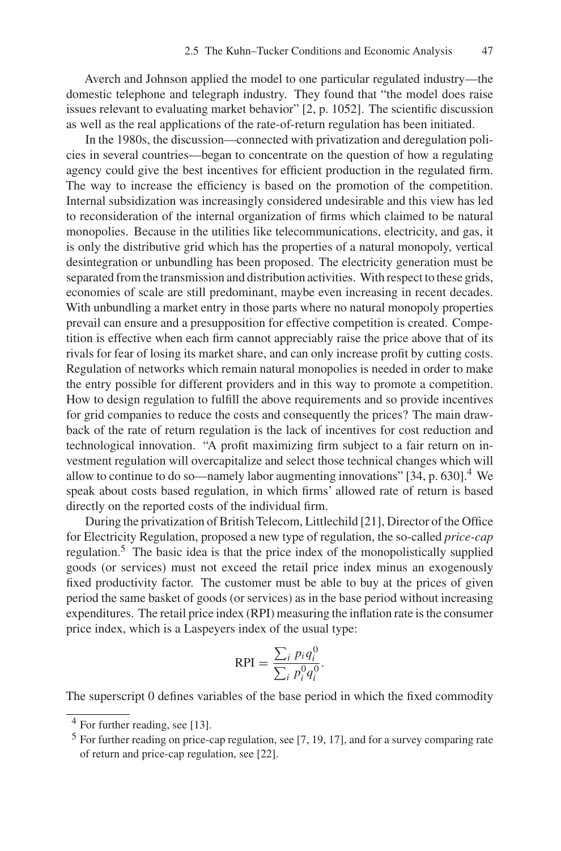Averch and Johnson applied the model to one particular regulated industry—the domestic telephone and telegraph industry. They found that "the model does raise issues relevant to evaluating market behavior" [2, p. 1052]. The scientific discussion as well as the real applications of the rate-of-return regulation has been initiated.

In the 1980s, the discussion—connected with privatization and deregulation policies in several countries—began to concentrate on the question of how a regulating agency could give the best incentives for efficient production in the regulated firm. The way to increase the efficiency is based on the promotion of the competition. Internal subsidization was increasingly considered undesirable and this view has led to reconsideration of the internal organization of firms which claimed to be natural monopolies. Because in the utilities like telecommunications, electricity, and gas, it is only the distributive grid which has the properties of a natural monopoly, vertical desintegration or unbundling has been proposed. The electricity generation must be separated from the transmission and distribution activities. With respect to these grids, economies of scale are still predominant, maybe even increasing in recent decades. With unbundling a market entry in those parts where no natural monopoly properties prevail can ensure and a presupposition for effective competition is created. Competition is effective when each firm cannot appreciably raise the price above that of its rivals for fear of losing its market share, and can only increase profit by cutting costs. Regulation of networks which remain natural monopolies is needed in order to make the entry possible for different providers and in this way to promote a competition. How to design regulation to fulfill the above requirements and so provide incentives for grid companies to reduce the costs and consequently the prices? The main drawback of the rate of return regulation is the lack of incentives for cost reduction and technological innovation. "A profit maximizing firm subject to a fair return on investment regulation will overcapitalize and select those technical changes which will allow to continue to do so—namely labor augmenting innovations" [34, p. 630].<sup>4</sup> We speak about costs based regulation, in which firms' allowed rate of return is based directly on the reported costs of the individual firm.

During the privatization of British Telecom, Littlechild [21], Director of the Office for Electricity Regulation, proposed a new type of regulation, the so-called *price-cap* regulation. $5$  The basic idea is that the price index of the monopolistically supplied goods (or services) must not exceed the retail price index minus an exogenously fixed productivity factor. The customer must be able to buy at the prices of given period the same basket of goods (or services) as in the base period without increasing expenditures. The retail price index (RPI) measuring the inflation rate is the consumer price index, which is a Laspeyers index of the usual type:

$$
RPI = \frac{\sum_{i} p_i q_i^0}{\sum_{i} p_i^0 q_i^0}.
$$

The superscript 0 defines variables of the base period in which the fixed commodity

<sup>4</sup> For further reading, see [13].

<sup>5</sup> For further reading on price-cap regulation, see [7, 19, 17], and for a survey comparing rate of return and price-cap regulation, see [22].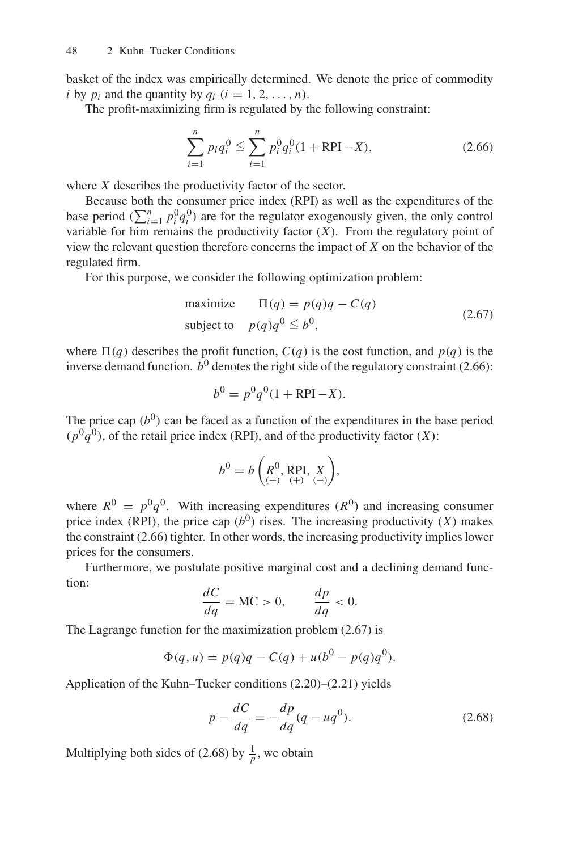basket of the index was empirically determined. We denote the price of commodity *i* by  $p_i$  and the quantity by  $q_i$   $(i = 1, 2, \ldots, n)$ .

The profit-maximizing firm is regulated by the following constraint:

$$
\sum_{i=1}^{n} p_i q_i^0 \le \sum_{i=1}^{n} p_i^0 q_i^0 (1 + \text{RPI} - X), \tag{2.66}
$$

where *X* describes the productivity factor of the sector.

Because both the consumer price index (RPI) as well as the expenditures of the base period  $(\sum_{i=1}^{n} p_i^0 q_i^0)$  are for the regulator exogenously given, the only control variable for him remains the productivity factor  $(X)$ . From the regulatory point of view the relevant question therefore concerns the impact of *X* on the behavior of the regulated firm.

For this purpose, we consider the following optimization problem:

maximize 
$$
\Pi(q) = p(q)q - C(q)
$$
  
subject to  $p(q)q^0 \leq b^0$ ,  $(2.67)$ 

where  $\Pi(q)$  describes the profit function,  $C(q)$  is the cost function, and  $p(q)$  is the inverse demand function.  $b^0$  denotes the right side of the regulatory constraint (2.66):

$$
b^0 = p^0 q^0 (1 + \text{RPI} - X).
$$

The price cap  $(b^0)$  can be faced as a function of the expenditures in the base period  $(p^{0}q^{0})$ , of the retail price index *(RPI)*, and of the productivity factor *(X)*:

$$
b^{0} = b\left(\underset{(+)}{R^{0}}, \underset{(+)}{RPI}, \underset{(-)}{X}\right),
$$

where  $R^0 = p^0q^0$ . With increasing expenditures  $(R^0)$  and increasing consumer price index *(RPI)*, the price cap  $(b^0)$  rises. The increasing productivity *(X)* makes the constraint (2.66) tighter. In other words, the increasing productivity implies lower prices for the consumers.

Furthermore, we postulate positive marginal cost and a declining demand function:

$$
\frac{dC}{dq} = \text{MC} > 0, \qquad \frac{dp}{dq} < 0.
$$

The Lagrange function for the maximization problem (2.67) is

$$
\Phi(q, u) = p(q)q - C(q) + u(b^0 - p(q)q^0).
$$

Application of the Kuhn–Tucker conditions (2.20)–(2.21) yields

$$
p - \frac{dC}{dq} = -\frac{dp}{dq}(q - uq^{0}).
$$
\n(2.68)

Multiplying both sides of (2.68) by  $\frac{1}{p}$ , we obtain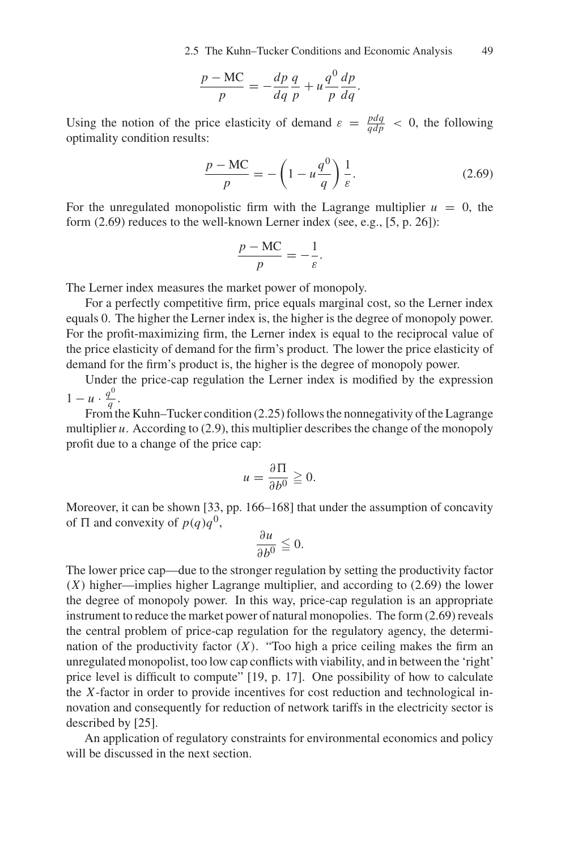$$
\frac{p-\text{MC}}{p} = -\frac{dp}{dq}\frac{q}{p} + u\frac{q^0}{p}\frac{dp}{dq}.
$$

Using the notion of the price elasticity of demand  $\varepsilon = \frac{p dq}{q dp} < 0$ , the following optimality condition results:

$$
\frac{p-\text{MC}}{p} = -\left(1 - u\frac{q^0}{q}\right)\frac{1}{\varepsilon}.\tag{2.69}
$$

For the unregulated monopolistic firm with the Lagrange multiplier  $u = 0$ , the form (2.69) reduces to the well-known Lerner index (see, e.g., [5, p. 26]):

$$
\frac{p-\text{MC}}{p} = -\frac{1}{\varepsilon}.
$$

The Lerner index measures the market power of monopoly.

For a perfectly competitive firm, price equals marginal cost, so the Lerner index equals 0. The higher the Lerner index is, the higher is the degree of monopoly power. For the profit-maximizing firm, the Lerner index is equal to the reciprocal value of the price elasticity of demand for the firm's product. The lower the price elasticity of demand for the firm's product is, the higher is the degree of monopoly power.

Under the price-cap regulation the Lerner index is modified by the expression  $1 - u \cdot \frac{q^0}{q}$ .

From the Kuhn–Tucker condition (2.25) follows the nonnegativity of the Lagrange multiplier *u*. According to (2.9), this multiplier describes the change of the monopoly profit due to a change of the price cap:

$$
u = \frac{\partial \Pi}{\partial b^0} \geq 0.
$$

Moreover, it can be shown [33, pp. 166–168] that under the assumption of concavity of  $\Pi$  and convexity of  $p(q)q^0$ ,

$$
\frac{\partial u}{\partial b^0} \leqq 0.
$$

The lower price cap—due to the stronger regulation by setting the productivity factor *(X)* higher—implies higher Lagrange multiplier, and according to (2.69) the lower the degree of monopoly power. In this way, price-cap regulation is an appropriate instrument to reduce the market power of natural monopolies. The form  $(2.69)$  reveals the central problem of price-cap regulation for the regulatory agency, the determination of the productivity factor  $(X)$ . "Too high a price ceiling makes the firm an unregulated monopolist, too low cap conflicts with viability, and in between the 'right' price level is difficult to compute" [19, p. 17]. One possibility of how to calculate the *X*-factor in order to provide incentives for cost reduction and technological innovation and consequently for reduction of network tariffs in the electricity sector is described by [25].

An application of regulatory constraints for environmental economics and policy will be discussed in the next section.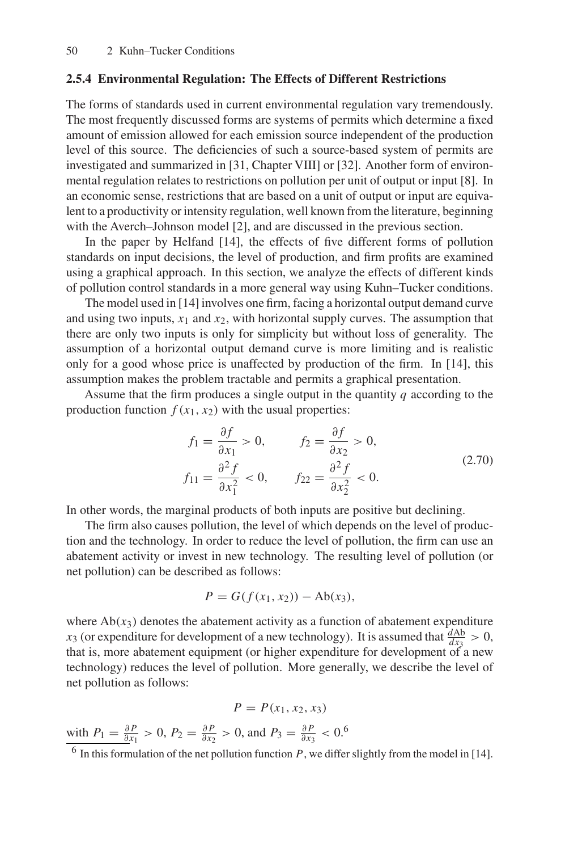### **2.5.4 Environmental Regulation: The Effects of Different Restrictions**

The forms of standards used in current environmental regulation vary tremendously. The most frequently discussed forms are systems of permits which determine a fixed amount of emission allowed for each emission source independent of the production level of this source. The deficiencies of such a source-based system of permits are investigated and summarized in [31, Chapter VIII] or [32]. Another form of environmental regulation relates to restrictions on pollution per unit of output or input [8]. In an economic sense, restrictions that are based on a unit of output or input are equivalent to a productivity or intensity regulation, well known from the literature, beginning with the Averch–Johnson model [2], and are discussed in the previous section.

In the paper by Helfand [14], the effects of five different forms of pollution standards on input decisions, the level of production, and firm profits are examined using a graphical approach. In this section, we analyze the effects of different kinds of pollution control standards in a more general way using Kuhn–Tucker conditions.

The model used in [14] involves one firm, facing a horizontal output demand curve and using two inputs,  $x_1$  and  $x_2$ , with horizontal supply curves. The assumption that there are only two inputs is only for simplicity but without loss of generality. The assumption of a horizontal output demand curve is more limiting and is realistic only for a good whose price is unaffected by production of the firm. In [14], this assumption makes the problem tractable and permits a graphical presentation.

Assume that the firm produces a single output in the quantity *q* according to the production function  $f(x_1, x_2)$  with the usual properties:

$$
f_1 = \frac{\partial f}{\partial x_1} > 0, \qquad f_2 = \frac{\partial f}{\partial x_2} > 0,
$$
  

$$
f_{11} = \frac{\partial^2 f}{\partial x_1^2} < 0, \qquad f_{22} = \frac{\partial^2 f}{\partial x_2^2} < 0.
$$
 (2.70)

In other words, the marginal products of both inputs are positive but declining.

The firm also causes pollution, the level of which depends on the level of production and the technology. In order to reduce the level of pollution, the firm can use an abatement activity or invest in new technology. The resulting level of pollution (or net pollution) can be described as follows:

$$
P = G(f(x_1, x_2)) - Ab(x_3),
$$

where  $Ab(x_3)$  denotes the abatement activity as a function of abatement expenditure *x*<sub>3</sub> (or expenditure for development of a new technology). It is assumed that  $\frac{dA\mathbf{b}}{dx_3} > 0$ , that is, more abatement equipment (or higher expenditure for development of a new technology) reduces the level of pollution. More generally, we describe the level of net pollution as follows:

$$
P = P(x_1, x_2, x_3)
$$

with  $P_1 = \frac{\partial P}{\partial x_1} > 0$ ,  $P_2 = \frac{\partial P}{\partial x_2} > 0$ , and  $P_3 = \frac{\partial P}{\partial x_3} < 0.6$ 

 $6$  In this formulation of the net pollution function *P*, we differ slightly from the model in [14].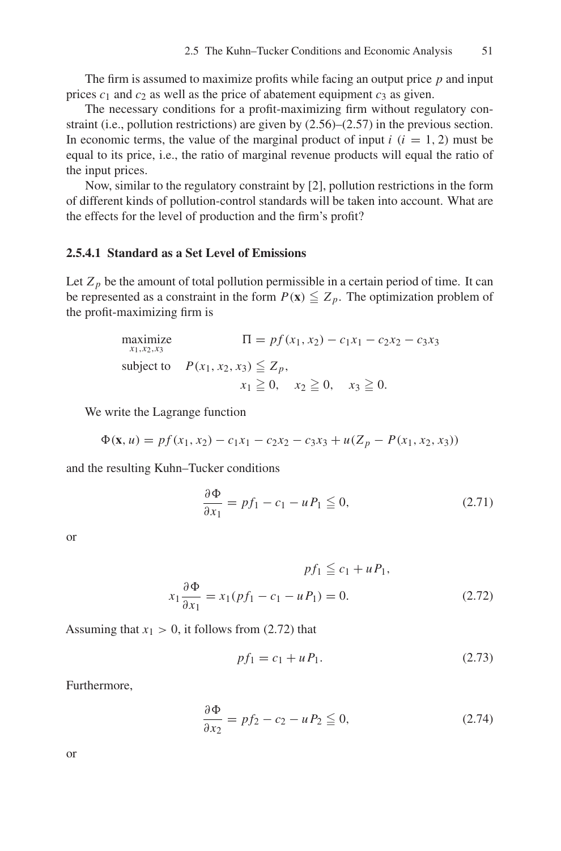The firm is assumed to maximize profits while facing an output price *p* and input prices  $c_1$  and  $c_2$  as well as the price of abatement equipment  $c_3$  as given.

The necessary conditions for a profit-maximizing firm without regulatory constraint (i.e., pollution restrictions) are given by (2.56)–(2.57) in the previous section. In economic terms, the value of the marginal product of input  $i$   $(i = 1, 2)$  must be equal to its price, i.e., the ratio of marginal revenue products will equal the ratio of the input prices.

Now, similar to the regulatory constraint by [2], pollution restrictions in the form of different kinds of pollution-control standards will be taken into account. What are the effects for the level of production and the firm's profit?

### **2.5.4.1 Standard as a Set Level of Emissions**

Let  $Z_p$  be the amount of total pollution permissible in a certain period of time. It can be represented as a constraint in the form  $P(\mathbf{x}) \leq Z_p$ . The optimization problem of the profit-maximizing firm is

maximize 
$$
\Pi = pf(x_1, x_2) - c_1x_1 - c_2x_2 - c_3x_3
$$
  
\nsubject to  $P(x_1, x_2, x_3) \le Z_p$ ,  
\n $x_1 \ge 0$ ,  $x_2 \ge 0$ ,  $x_3 \ge 0$ .

We write the Lagrange function

$$
\Phi(\mathbf{x}, u) = pf(x_1, x_2) - c_1x_1 - c_2x_2 - c_3x_3 + u(Z_p - P(x_1, x_2, x_3))
$$

and the resulting Kuhn–Tucker conditions

$$
\frac{\partial \Phi}{\partial x_1} = pf_1 - c_1 - uP_1 \leq 0,
$$
\n(2.71)

or

$$
pf_1 \leqq c_1 + uP_1,
$$
  

$$
x_1 \frac{\partial \Phi}{\partial x_1} = x_1 (pf_1 - c_1 - uP_1) = 0.
$$
 (2.72)

Assuming that  $x_1 > 0$ , it follows from (2.72) that

$$
pf_1 = c_1 + uP_1. \tag{2.73}
$$

Furthermore,

$$
\frac{\partial \Phi}{\partial x_2} = pf_2 - c_2 - uP_2 \leq 0,
$$
\n(2.74)

or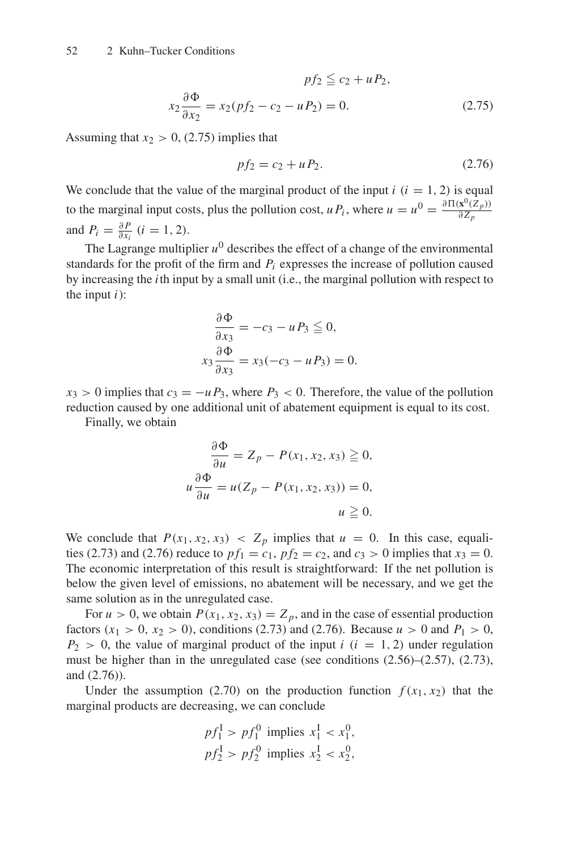$$
pf_2 \le c_2 + uP_2,
$$
  

$$
x_2 \frac{\partial \Phi}{\partial x_2} = x_2 (pf_2 - c_2 - uP_2) = 0.
$$
 (2.75)

Assuming that  $x_2 > 0$ , (2.75) implies that

$$
pf_2 = c_2 + uP_2. \tag{2.76}
$$

We conclude that the value of the marginal product of the input  $i$   $(i = 1, 2)$  is equal to the marginal input costs, plus the pollution cost, *uP<sub>i</sub>*, where  $u = u^0 = \frac{\partial \Pi(x^0(Z_p))}{\partial Z_p}$ and  $P_i = \frac{\partial P}{\partial x_i}$   $(i = 1, 2)$ .

The Lagrange multiplier  $u^0$  describes the effect of a change of the environmental standards for the profit of the firm and  $P_i$  expresses the increase of pollution caused by increasing the *i*th input by a small unit (i.e., the marginal pollution with respect to the input *i*):

$$
\frac{\partial \Phi}{\partial x_3} = -c_3 - u_3 \leq 0,
$$
  

$$
x_3 \frac{\partial \Phi}{\partial x_3} = x_3(-c_3 - u_3) = 0.
$$

 $x_3$  > 0 implies that  $c_3 = -uP_3$ , where  $P_3$  < 0. Therefore, the value of the pollution reduction caused by one additional unit of abatement equipment is equal to its cost.

Finally, we obtain

$$
\frac{\partial \Phi}{\partial u} = Z_p - P(x_1, x_2, x_3) \ge 0,
$$
  

$$
u \frac{\partial \Phi}{\partial u} = u(Z_p - P(x_1, x_2, x_3)) = 0,
$$
  

$$
u \ge 0.
$$

We conclude that  $P(x_1, x_2, x_3) < Z_p$  implies that  $u = 0$ . In this case, equalities (2.73) and (2.76) reduce to  $pf_1 = c_1$ ,  $pf_2 = c_2$ , and  $c_3 > 0$  implies that  $x_3 = 0$ . The economic interpretation of this result is straightforward: If the net pollution is below the given level of emissions, no abatement will be necessary, and we get the same solution as in the unregulated case.

For  $u > 0$ , we obtain  $P(x_1, x_2, x_3) = Z_p$ , and in the case of essential production factors  $(x_1 > 0, x_2 > 0)$ , conditions (2.73) and (2.76). Because  $u > 0$  and  $P_1 > 0$ ,  $P_2 > 0$ , the value of marginal product of the input *i*  $(i = 1, 2)$  under regulation must be higher than in the unregulated case (see conditions (2.56)–(2.57), (2.73), and (2.76)).

Under the assumption (2.70) on the production function  $f(x_1, x_2)$  that the marginal products are decreasing, we can conclude

$$
pf_1^I > pf_1^0 \text{ implies } x_1^I < x_1^0,
$$
\n
$$
pf_2^I > pf_2^0 \text{ implies } x_2^I < x_2^0,
$$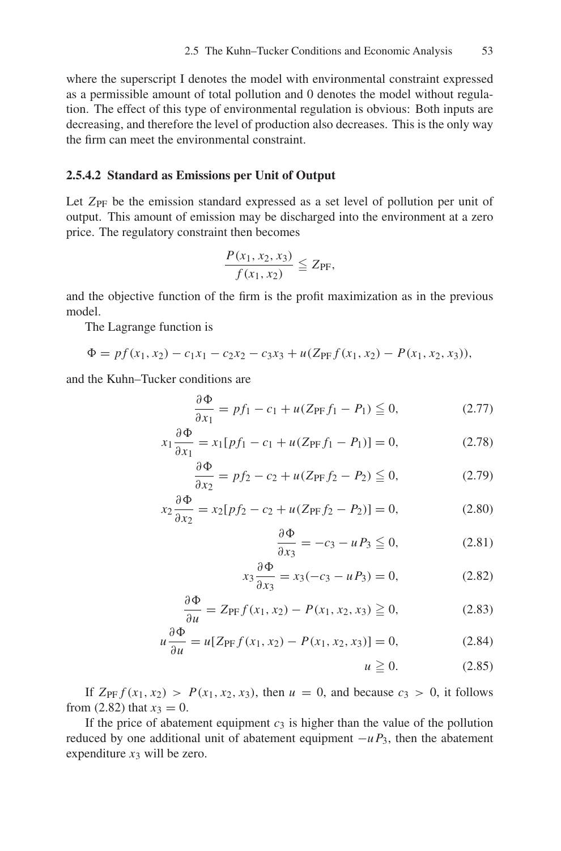where the superscript I denotes the model with environmental constraint expressed as a permissible amount of total pollution and 0 denotes the model without regulation. The effect of this type of environmental regulation is obvious: Both inputs are decreasing, and therefore the level of production also decreases. This is the only way the firm can meet the environmental constraint.

### **2.5.4.2 Standard as Emissions per Unit of Output**

Let Z<sub>PF</sub> be the emission standard expressed as a set level of pollution per unit of output. This amount of emission may be discharged into the environment at a zero price. The regulatory constraint then becomes

$$
\frac{P(x_1, x_2, x_3)}{f(x_1, x_2)} \leq Z_{\text{PF}},
$$

and the objective function of the firm is the profit maximization as in the previous model.

The Lagrange function is

$$
\Phi = pf(x_1, x_2) - c_1x_1 - c_2x_2 - c_3x_3 + u(Z_{\text{PF}}f(x_1, x_2) - P(x_1, x_2, x_3)),
$$

and the Kuhn–Tucker conditions are

$$
\frac{\partial \Phi}{\partial x_1} = pf_1 - c_1 + u(Z_{\text{PF}}f_1 - P_1) \leq 0,
$$
\n(2.77)

$$
x_1 \frac{\partial \Phi}{\partial x_1} = x_1 [pf_1 - c_1 + u(Z_{\text{PF}}f_1 - P_1)] = 0,\tag{2.78}
$$

$$
\frac{\partial \Phi}{\partial x_2} = pf_2 - c_2 + u(Z_{\text{PF}}f_2 - P_2) \leqq 0,
$$
\n(2.79)

$$
x_2 \frac{\partial \Phi}{\partial x_2} = x_2 [pf_2 - c_2 + u(Z_{\text{PF}} f_2 - P_2)] = 0,
$$
 (2.80)

$$
\frac{\partial \Phi}{\partial x_3} = -c_3 - uP_3 \leqq 0, \tag{2.81}
$$

$$
x_3 \frac{\partial \Phi}{\partial x_3} = x_3(-c_3 - uP_3) = 0,\tag{2.82}
$$

$$
\frac{\partial \Phi}{\partial u} = Z_{\text{PF}} f(x_1, x_2) - P(x_1, x_2, x_3) \geq 0,
$$
\n(2.83)

$$
u\frac{\partial \Phi}{\partial u} = u[Z_{\text{PF}}f(x_1, x_2) - P(x_1, x_2, x_3)] = 0,
$$
 (2.84)

$$
u \ge 0. \tag{2.85}
$$

If  $Z_{\text{PF}} f(x_1, x_2) > P(x_1, x_2, x_3)$ , then  $u = 0$ , and because  $c_3 > 0$ , it follows from (2.82) that  $x_3 = 0$ .

If the price of abatement equipment  $c_3$  is higher than the value of the pollution reduced by one additional unit of abatement equipment  $-uP_3$ , then the abatement expenditure  $x_3$  will be zero.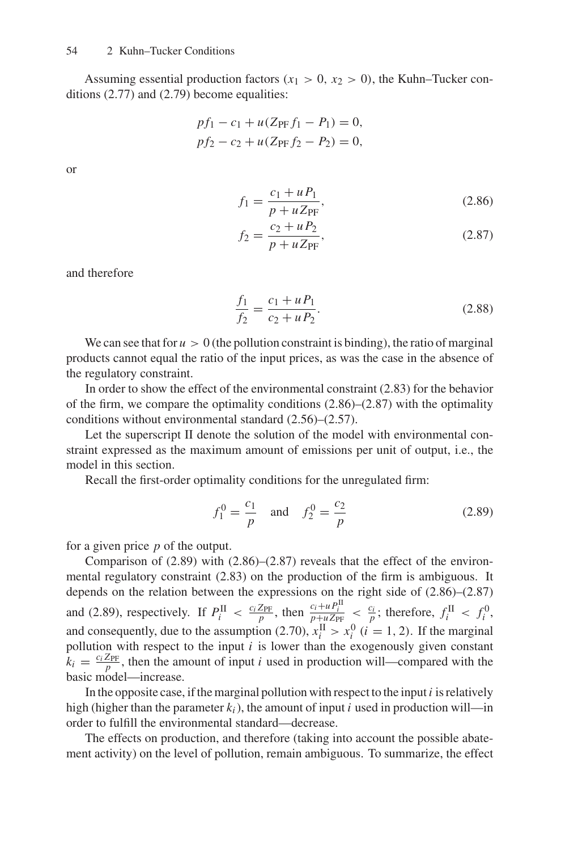Assuming essential production factors  $(x_1 > 0, x_2 > 0)$ , the Kuhn–Tucker conditions (2.77) and (2.79) become equalities:

$$
pf_1 - c_1 + u(Z_{\text{PF}}f_1 - P_1) = 0,
$$
  

$$
pf_2 - c_2 + u(Z_{\text{PF}}f_2 - P_2) = 0,
$$

or

$$
f_1 = \frac{c_1 + u P_1}{p + u Z_{\text{PF}}},\tag{2.86}
$$

$$
f_2 = \frac{c_2 + uP_2}{p + uZ_{\text{PF}}},\tag{2.87}
$$

and therefore

$$
\frac{f_1}{f_2} = \frac{c_1 + uP_1}{c_2 + uP_2}.
$$
\n(2.88)

We can see that for  $u > 0$  (the pollution constraint is binding), the ratio of marginal products cannot equal the ratio of the input prices, as was the case in the absence of the regulatory constraint.

In order to show the effect of the environmental constraint (2.83) for the behavior of the firm, we compare the optimality conditions  $(2.86)$ – $(2.87)$  with the optimality conditions without environmental standard (2.56)–(2.57).

Let the superscript II denote the solution of the model with environmental constraint expressed as the maximum amount of emissions per unit of output, i.e., the model in this section.

Recall the first-order optimality conditions for the unregulated firm:

$$
f_1^0 = \frac{c_1}{p} \quad \text{and} \quad f_2^0 = \frac{c_2}{p} \tag{2.89}
$$

for a given price *p* of the output.

Comparison of (2.89) with (2.86)–(2.87) reveals that the effect of the environmental regulatory constraint (2.83) on the production of the firm is ambiguous. It depends on the relation between the expressions on the right side of (2.86)–(2.87) and (2.89), respectively. If  $P_i^{\text{II}} < \frac{c_i Z_{\text{PF}}}{p}$ , then  $\frac{c_i + u P_i^{\text{II}}}{p + u Z_{\text{PF}}} < \frac{c_i}{p}$ ; therefore,  $f_i^{\text{II}} < f_i^0$ , and consequently, due to the assumption (2.70),  $x_i^{\text{II}} > x_i^0$  (*i* = 1, 2). If the marginal pollution with respect to the input *i* is lower than the exogenously given constant  $\bar{k}_i = \frac{c_i Z_{\text{PF}}}{p}$ , then the amount of input *i* used in production will—compared with the basic model—increase.

In the opposite case, if the marginal pollution with respect to the input*i* is relatively high (higher than the parameter  $k_i$ ), the amount of input *i* used in production will—in order to fulfill the environmental standard—decrease.

The effects on production, and therefore (taking into account the possible abatement activity) on the level of pollution, remain ambiguous. To summarize, the effect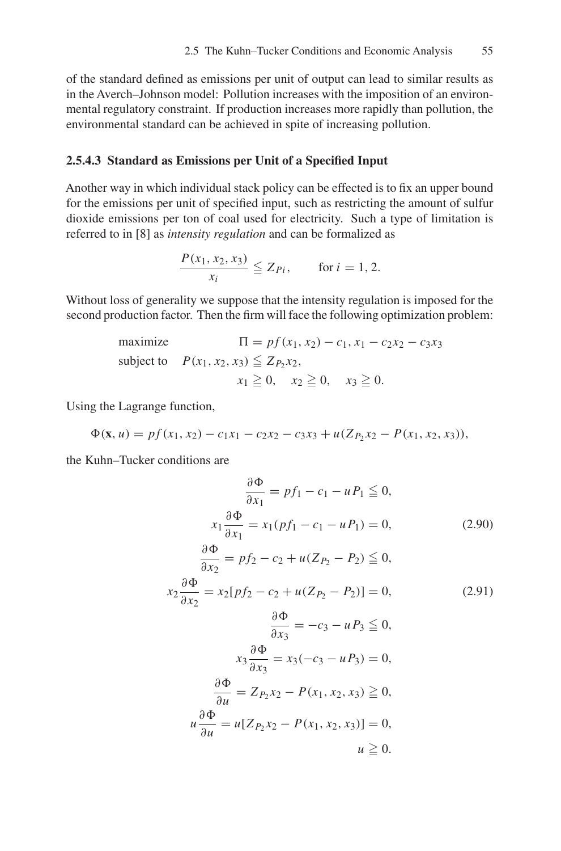of the standard defined as emissions per unit of output can lead to similar results as in the Averch–Johnson model: Pollution increases with the imposition of an environmental regulatory constraint. If production increases more rapidly than pollution, the environmental standard can be achieved in spite of increasing pollution.

## **2.5.4.3 Standard as Emissions per Unit of a Specified Input**

Another way in which individual stack policy can be effected is to fix an upper bound for the emissions per unit of specified input, such as restricting the amount of sulfur dioxide emissions per ton of coal used for electricity. Such a type of limitation is referred to in [8] as *intensity regulation* and can be formalized as

$$
\frac{P(x_1, x_2, x_3)}{x_i} \leq Z_{Pi}, \quad \text{for } i = 1, 2.
$$

Without loss of generality we suppose that the intensity regulation is imposed for the second production factor. Then the firm will face the following optimization problem:

maximize 
$$
\Pi = pf(x_1, x_2) - c_1, x_1 - c_2x_2 - c_3x_3
$$
  
subject to  $P(x_1, x_2, x_3) \le Z_{P_2}x_2$ ,  
 $x_1 \ge 0$ ,  $x_2 \ge 0$ ,  $x_3 \ge 0$ .

Using the Lagrange function,

$$
\Phi(\mathbf{x}, u) = pf(x_1, x_2) - c_1x_1 - c_2x_2 - c_3x_3 + u(Z_{P_2}x_2 - P(x_1, x_2, x_3)),
$$

the Kuhn–Tucker conditions are

$$
\frac{\partial \Phi}{\partial x_1} = pf_1 - c_1 - uP_1 \le 0,
$$
  
\n
$$
x_1 \frac{\partial \Phi}{\partial x_1} = x_1 (pf_1 - c_1 - uP_1) = 0,
$$
 (2.90)  
\n
$$
\frac{\partial \Phi}{\partial x_2} = pf_2 - c_2 + u(Z_{P_2} - P_2) \le 0,
$$
  
\n
$$
x_2 \frac{\partial \Phi}{\partial x_2} = x_2 [pf_2 - c_2 + u(Z_{P_2} - P_2)] = 0,
$$
 (2.91)  
\n
$$
\frac{\partial \Phi}{\partial x_3} = -c_3 - uP_3 \le 0,
$$
  
\n
$$
x_3 \frac{\partial \Phi}{\partial x_3} = x_3 (-c_3 - uP_3) = 0,
$$
  
\n
$$
\frac{\partial \Phi}{\partial u} = Z_{P_2} x_2 - P(x_1, x_2, x_3) \ge 0,
$$
  
\n
$$
u \frac{\partial \Phi}{\partial u} = u[Z_{P_2} x_2 - P(x_1, x_2, x_3)] = 0,
$$
  
\n
$$
u \ge 0.
$$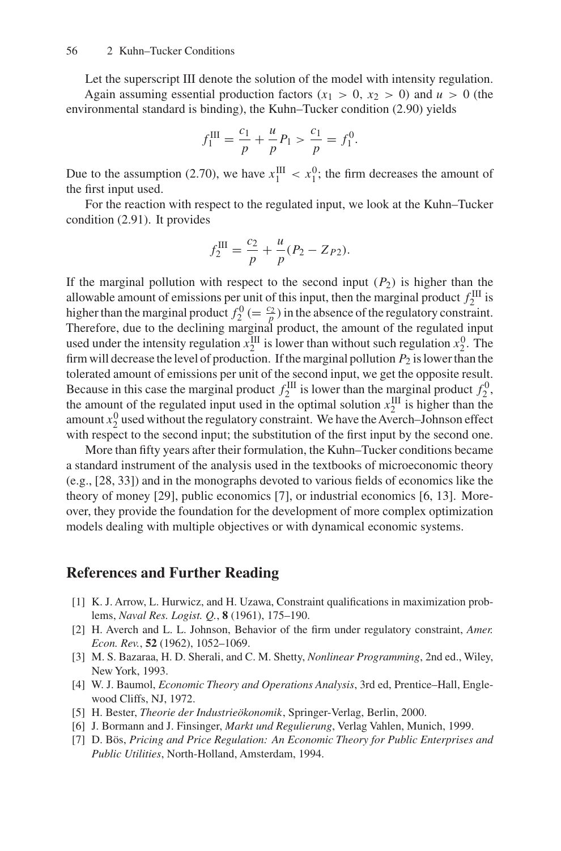Let the superscript III denote the solution of the model with intensity regulation. Again assuming essential production factors  $(x_1 > 0, x_2 > 0)$  and  $u > 0$  (the environmental standard is binding), the Kuhn–Tucker condition (2.90) yields

$$
f_1^{\text{III}} = \frac{c_1}{p} + \frac{u}{p} P_1 > \frac{c_1}{p} = f_1^0.
$$

Due to the assumption (2.70), we have  $x_1^{\text{III}} < x_1^0$ ; the firm decreases the amount of the first input used.

For the reaction with respect to the regulated input, we look at the Kuhn–Tucker condition (2.91). It provides

$$
f_2^{\text{III}} = \frac{c_2}{p} + \frac{u}{p}(P_2 - Z_{P2}).
$$

If the marginal pollution with respect to the second input  $(P_2)$  is higher than the allowable amount of emissions per unit of this input, then the marginal product  $f_2^{\text{III}}$  is higher than the marginal product  $f_2^0 \, (= \frac{c_2}{p})$  in the absence of the regulatory constraint. Therefore, due to the declining marginal product, the amount of the regulated input used under the intensity regulation  $x_2^{\text{III}}$  is lower than without such regulation  $x_2^0$ . The firm will decrease the level of production. If the marginal pollution  $P_2$  is lower than the tolerated amount of emissions per unit of the second input, we get the opposite result. Because in this case the marginal product  $f_2^{\text{III}}$  is lower than the marginal product  $f_2^0$ , the amount of the regulated input used in the optimal solution  $x_2^{\text{III}}$  is higher than the amount  $x_2^0$  used without the regulatory constraint. We have the Averch–Johnson effect with respect to the second input; the substitution of the first input by the second one.

More than fifty years after their formulation, the Kuhn–Tucker conditions became a standard instrument of the analysis used in the textbooks of microeconomic theory (e.g., [28, 33]) and in the monographs devoted to various fields of economics like the theory of money [29], public economics [7], or industrial economics [6, 13]. Moreover, they provide the foundation for the development of more complex optimization models dealing with multiple objectives or with dynamical economic systems.

## **References and Further Reading**

- [1] K. J. Arrow, L. Hurwicz, and H. Uzawa, Constraint qualifications in maximization problems, *Naval Res. Logist. Q.*, **8** (1961), 175–190.
- [2] H. Averch and L. L. Johnson, Behavior of the firm under regulatory constraint, *Amer. Econ. Rev.*, **52** (1962), 1052–1069.
- [3] M. S. Bazaraa, H. D. Sherali, and C. M. Shetty, *Nonlinear Programming*, 2nd ed., Wiley, New York, 1993.
- [4] W. J. Baumol, *Economic Theory and Operations Analysis*, 3rd ed, Prentice–Hall, Englewood Cliffs, NJ, 1972.
- [5] H. Bester, *Theorie der Industrieökonomik*, Springer-Verlag, Berlin, 2000.
- [6] J. Bormann and J. Finsinger, *Markt und Regulierung*, Verlag Vahlen, Munich, 1999.
- [7] D. Bös, *Pricing and Price Regulation: An Economic Theory for Public Enterprises and Public Utilities*, North-Holland, Amsterdam, 1994.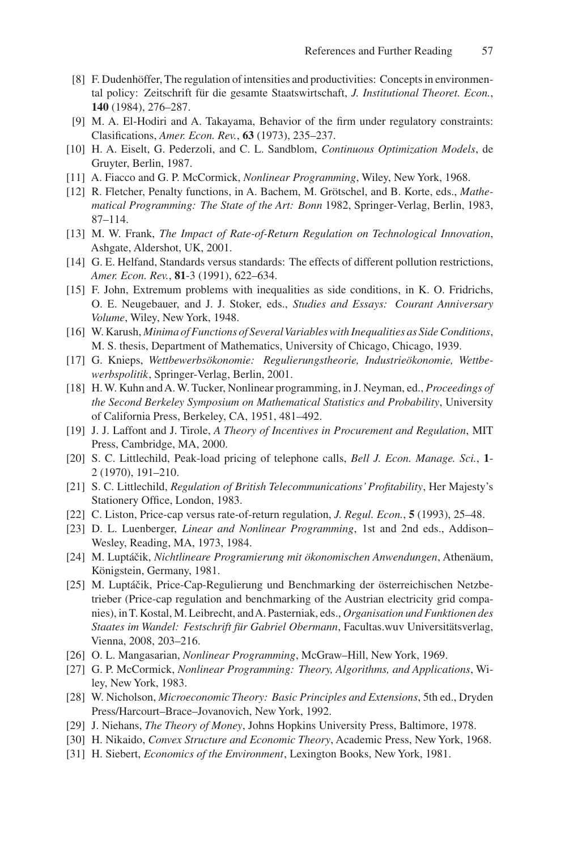- [8] F. Dudenhöffer, The regulation of intensities and productivities: Concepts in environmental policy: Zeitschrift für die gesamte Staatswirtschaft, *J. Institutional Theoret. Econ.*, **140** (1984), 276–287.
- [9] M. A. El-Hodiri and A. Takayama, Behavior of the firm under regulatory constraints: Clasifications, *Amer. Econ. Rev.*, **63** (1973), 235–237.
- [10] H. A. Eiselt, G. Pederzoli, and C. L. Sandblom, *Continuous Optimization Models*, de Gruyter, Berlin, 1987.
- [11] A. Fiacco and G. P. McCormick, *Nonlinear Programming*, Wiley, New York, 1968.
- [12] R. Fletcher, Penalty functions, in A. Bachem, M. Grötschel, and B. Korte, eds., *Mathematical Programming: The State of the Art: Bonn* 1982, Springer-Verlag, Berlin, 1983, 87–114.
- [13] M. W. Frank, *The Impact of Rate-of-Return Regulation on Technological Innovation*, Ashgate, Aldershot, UK, 2001.
- [14] G. E. Helfand, Standards versus standards: The effects of different pollution restrictions, *Amer. Econ. Rev.*, **81**-3 (1991), 622–634.
- [15] F. John, Extremum problems with inequalities as side conditions, in K. O. Fridrichs, O. E. Neugebauer, and J. J. Stoker, eds., *Studies and Essays: Courant Anniversary Volume*, Wiley, New York, 1948.
- [16] W. Karush, *Minima of Functions of SeveralVariables with Inequalities as Side Conditions*, M. S. thesis, Department of Mathematics, University of Chicago, Chicago, 1939.
- [17] G. Knieps, *Wettbewerbsökonomie: Regulierungstheorie, Industrieökonomie, Wettbewerbspolitik*, Springer-Verlag, Berlin, 2001.
- [18] H. W. Kuhn andA. W. Tucker, Nonlinear programming, in J. Neyman, ed., *Proceedings of the Second Berkeley Symposium on Mathematical Statistics and Probability*, University of California Press, Berkeley, CA, 1951, 481–492.
- [19] J. J. Laffont and J. Tirole, *A Theory of Incentives in Procurement and Regulation*, MIT Press, Cambridge, MA, 2000.
- [20] S. C. Littlechild, Peak-load pricing of telephone calls, *Bell J. Econ. Manage. Sci.*, **1** 2 (1970), 191–210.
- [21] S. C. Littlechild, *Regulation of British Telecommunications' Profitability*, Her Majesty's Stationery Office, London, 1983.
- [22] C. Liston, Price-cap versus rate-of-return regulation, *J. Regul. Econ.*, **5** (1993), 25–48.
- [23] D. L. Luenberger, *Linear and Nonlinear Programming*, 1st and 2nd eds., Addison– Wesley, Reading, MA, 1973, 1984.
- [24] M. Luptáčik, *Nichtlineare Programierung mit ökonomischen Anwendungen*, Athenäum, Königstein, Germany, 1981.
- [25] M. Luptáčik, Price-Cap-Regulierung und Benchmarking der österreichischen Netzbetrieber (Price-cap regulation and benchmarking of the Austrian electricity grid companies), in T. Kostal, M. Leibrecht, andA. Pasterniak, eds., *Organisation und Funktionen des Staates im Wandel: Festschrift für Gabriel Obermann*, Facultas.wuv Universitätsverlag, Vienna, 2008, 203–216.
- [26] O. L. Mangasarian, *Nonlinear Programming*, McGraw–Hill, New York, 1969.
- [27] G. P. McCormick, *Nonlinear Programming: Theory, Algorithms, and Applications*, Wiley, New York, 1983.
- [28] W. Nicholson, *Microeconomic Theory: Basic Principles and Extensions*, 5th ed., Dryden Press/Harcourt–Brace–Jovanovich, New York, 1992.
- [29] J. Niehans, *The Theory of Money*, Johns Hopkins University Press, Baltimore, 1978.
- [30] H. Nikaido, *Convex Structure and Economic Theory*, Academic Press, New York, 1968.
- [31] H. Siebert, *Economics of the Environment*, Lexington Books, New York, 1981.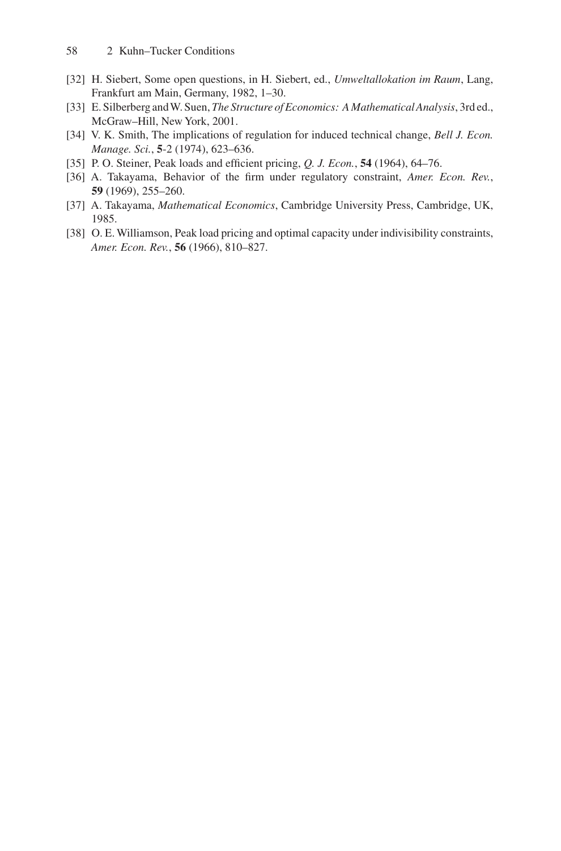- [32] H. Siebert, Some open questions, in H. Siebert, ed., *Umweltallokation im Raum*, Lang, Frankfurt am Main, Germany, 1982, 1–30.
- [33] E. Silberberg andW. Suen, *The Structure of Economics: A Mathematical Analysis*, 3rd ed., McGraw–Hill, New York, 2001.
- [34] V. K. Smith, The implications of regulation for induced technical change, *Bell J. Econ. Manage. Sci.*, **5**-2 (1974), 623–636.
- [35] P. O. Steiner, Peak loads and efficient pricing, *Q. J. Econ.*, **54** (1964), 64–76.
- [36] A. Takayama, Behavior of the firm under regulatory constraint, *Amer. Econ. Rev.*, **59** (1969), 255–260.
- [37] A. Takayama, *Mathematical Economics*, Cambridge University Press, Cambridge, UK, 1985.
- [38] O. E. Williamson, Peak load pricing and optimal capacity under indivisibility constraints, *Amer. Econ. Rev.*, **56** (1966), 810–827.